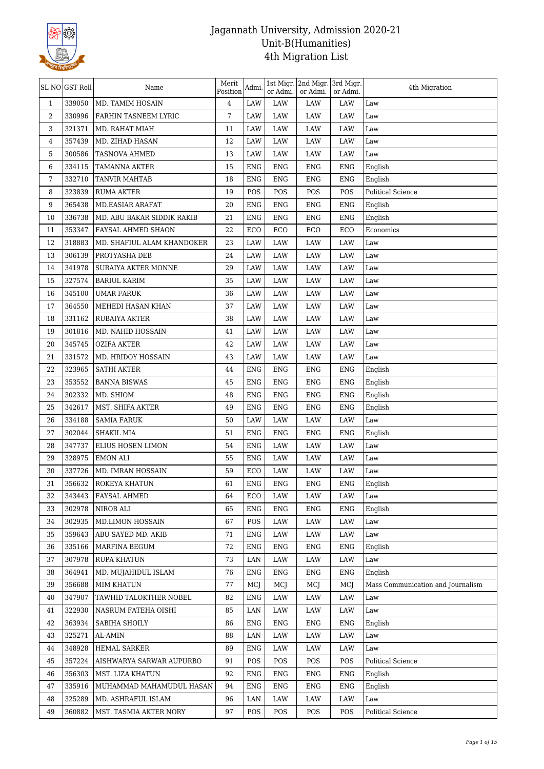

|              | SL NO GST Roll | Name                       | Merit<br>Position | Admi.      | or Admi.   | 1st Migr. 2nd Migr. 3rd Migr.<br>or Admi. | or Admi.   | 4th Migration                     |
|--------------|----------------|----------------------------|-------------------|------------|------------|-------------------------------------------|------------|-----------------------------------|
| $\mathbf{1}$ | 339050         | MD. TAMIM HOSAIN           | $\overline{4}$    | <b>LAW</b> | <b>LAW</b> | <b>LAW</b>                                | LAW        | Law                               |
| 2            | 330996         | FARHIN TASNEEM LYRIC       | 7                 | LAW        | LAW        | LAW                                       | LAW        | Law                               |
| 3            | 321371         | MD. RAHAT MIAH             | 11                | LAW        | LAW        | LAW                                       | LAW        | Law                               |
| 4            | 357439         | MD. ZIHAD HASAN            | 12                | LAW        | LAW        | LAW                                       | LAW        | Law                               |
| 5            | 300586         | TASNOVA AHMED              | 13                | LAW        | LAW        | LAW                                       | LAW        | Law                               |
| 6            | 334115         | TAMANNA AKTER              | 15                | <b>ENG</b> | <b>ENG</b> | <b>ENG</b>                                | <b>ENG</b> | English                           |
| 7            | 332710         | TANVIR MAHTAB              | 18                | <b>ENG</b> | <b>ENG</b> | <b>ENG</b>                                | <b>ENG</b> | English                           |
| 8            | 323839         | <b>RUMA AKTER</b>          | 19                | POS        | POS        | POS                                       | POS        | Political Science                 |
| 9            | 365438         | MD.EASIAR ARAFAT           | 20                | <b>ENG</b> | <b>ENG</b> | <b>ENG</b>                                | <b>ENG</b> | English                           |
| 10           | 336738         | MD. ABU BAKAR SIDDIK RAKIB | 21                | <b>ENG</b> | <b>ENG</b> | <b>ENG</b>                                | <b>ENG</b> | English                           |
| 11           | 353347         | FAYSAL AHMED SHAON         | 22                | ECO        | ECO        | ECO                                       | ECO        | Economics                         |
| 12           | 318883         | MD. SHAFIUL ALAM KHANDOKER | 23                | LAW        | LAW        | LAW                                       | LAW        | Law                               |
| 13           | 306139         | PROTYASHA DEB              | 24                | LAW        | LAW        | LAW                                       | LAW        | Law                               |
| 14           | 341978         | SURAIYA AKTER MONNE        | 29                | LAW        | LAW        | LAW                                       | LAW        | Law                               |
| 15           | 327574         | <b>BARIUL KARIM</b>        | 35                | LAW        | LAW        | LAW                                       | LAW        | Law                               |
| 16           | 345100         | <b>UMAR FARUK</b>          | 36                | LAW        | LAW        | LAW                                       | LAW        | Law                               |
| 17           | 364550         | MEHEDI HASAN KHAN          | 37                | LAW        | LAW        | LAW                                       | LAW        | Law                               |
| 18           | 331162         | RUBAIYA AKTER              | 38                | LAW        | LAW        | LAW                                       | LAW        | Law                               |
| 19           | 301816         | MD. NAHID HOSSAIN          | 41                | LAW        | LAW        | LAW                                       | LAW        | Law                               |
| 20           | 345745         | <b>OZIFA AKTER</b>         | 42                | LAW        | LAW        | LAW                                       | LAW        | Law                               |
| 21           | 331572         | MD. HRIDOY HOSSAIN         | 43                | LAW        | LAW        | LAW                                       | LAW        | Law                               |
| 22           | 323965         | <b>SATHI AKTER</b>         | 44                | <b>ENG</b> | <b>ENG</b> | <b>ENG</b>                                | <b>ENG</b> | English                           |
| 23           | 353552         | <b>BANNA BISWAS</b>        | 45                | <b>ENG</b> | <b>ENG</b> | <b>ENG</b>                                | <b>ENG</b> | English                           |
| 24           | 302332         | MD. SHIOM                  | 48                | <b>ENG</b> | ENG        | <b>ENG</b>                                | <b>ENG</b> | English                           |
| 25           | 342617         | MST. SHIFA AKTER           | 49                | <b>ENG</b> | <b>ENG</b> | <b>ENG</b>                                | <b>ENG</b> | English                           |
| 26           | 334188         | <b>SAMIA FARUK</b>         | 50                | LAW        | LAW        | LAW                                       | LAW        | Law                               |
| 27           | 302044         | SHAKIL MIA                 | 51                | <b>ENG</b> | <b>ENG</b> | <b>ENG</b>                                | <b>ENG</b> | English                           |
| 28           | 347737         | ELIUS HOSEN LIMON          | 54                | <b>ENG</b> | LAW        | LAW                                       | LAW        | Law                               |
| 29           | 328975         | <b>EMON ALI</b>            | 55                | <b>ENG</b> | LAW        | LAW                                       | LAW        | Law                               |
| 30           | 337726         | MD. IMRAN HOSSAIN          | 59                | ECO        | <b>LAW</b> | LAW                                       | LAW        | Law                               |
| 31           | 356632         | ROKEYA KHATUN              | 61                | ENG        | ENG        | ENG                                       | <b>ENG</b> | English                           |
| 32           | 343443         | FAYSAL AHMED               | 64                | ECO        | LAW        | LAW                                       | LAW        | Law                               |
| 33           | 302978         | NIROB ALI                  | 65                | <b>ENG</b> | <b>ENG</b> | ENG                                       | <b>ENG</b> | English                           |
| 34           | 302935         | MD.LIMON HOSSAIN           | 67                | POS        | LAW        | LAW                                       | LAW        | Law                               |
| 35           | 359643         | ABU SAYED MD. AKIB         | 71                | <b>ENG</b> | LAW        | LAW                                       | LAW        | Law                               |
| 36           | 335166         | MARFINA BEGUM              | 72                | <b>ENG</b> | <b>ENG</b> | <b>ENG</b>                                | <b>ENG</b> | English                           |
| 37           | 307978         | <b>RUPA KHATUN</b>         | 73                | LAN        | LAW        | LAW                                       | LAW        | Law                               |
| 38           | 364941         | MD. MUJAHIDUL ISLAM        | 76                | ENG        | <b>ENG</b> | ENG                                       | ENG        | English                           |
| 39           | 356688         | <b>MIM KHATUN</b>          | 77                | MCJ        | MCJ        | MCJ                                       | MCJ        | Mass Communication and Journalism |
| 40           | 347907         | TAWHID TALOKTHER NOBEL     | 82                | <b>ENG</b> | LAW        | LAW                                       | LAW        | Law                               |
| 41           | 322930         | NASRUM FATEHA OISHI        | 85                | LAN        | LAW        | LAW                                       | LAW        | Law                               |
| 42           | 363934         | SABIHA SHOILY              | 86                | <b>ENG</b> | <b>ENG</b> | <b>ENG</b>                                | <b>ENG</b> |                                   |
| 43           | 325271         | <b>AL-AMIN</b>             | 88                | LAN        | LAW        | LAW                                       | LAW        | English<br>Law                    |
|              | 348928         | <b>HEMAL SARKER</b>        | 89                | <b>ENG</b> | LAW        | LAW                                       | LAW        |                                   |
| 44           |                |                            |                   |            |            |                                           |            | Law                               |
| 45           | 357224         | AISHWARYA SARWAR AUPURBO   | 91                | POS        | POS        | POS                                       | POS        | Political Science                 |
| 46           | 356303         | MST. LIZA KHATUN           | 92                | <b>ENG</b> | <b>ENG</b> | ENG                                       | <b>ENG</b> | English                           |
| 47           | 335916         | MUHAMMAD MAHAMUDUL HASAN   | 94                | <b>ENG</b> | <b>ENG</b> | <b>ENG</b>                                | <b>ENG</b> | English                           |
| 48           | 325289         | MD. ASHRAFUL ISLAM         | 96                | LAN        | LAW        | LAW                                       | LAW        | Law                               |
| 49           | 360882         | MST. TASMIA AKTER NORY     | 97                | POS        | POS        | POS                                       | POS        | Political Science                 |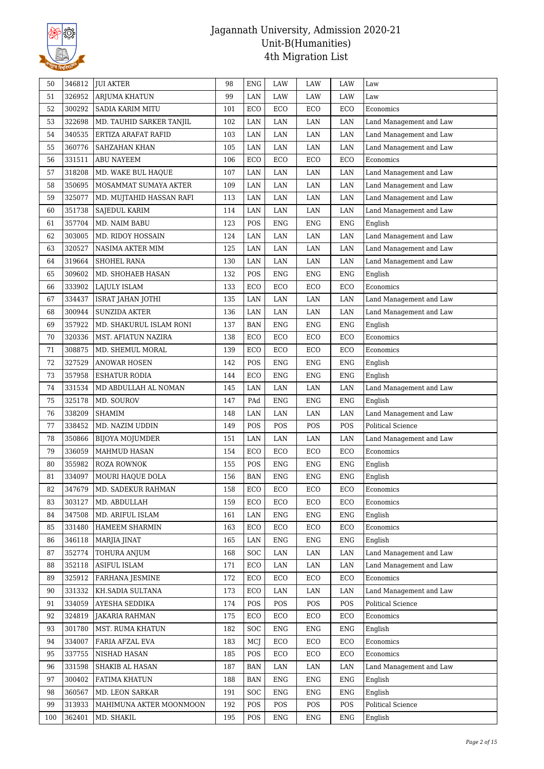

| 50  | 346812 | <b>JUI AKTER</b>         | 98  | <b>ENG</b> | LAW        | LAW        | LAW        | Law                      |
|-----|--------|--------------------------|-----|------------|------------|------------|------------|--------------------------|
| 51  | 326952 | <b>ARJUMA KHATUN</b>     | 99  | LAN        | LAW        | LAW        | LAW        | Law                      |
| 52  | 300292 | SADIA KARIM MITU         | 101 | ECO        | ECO        | ECO        | ECO        | Economics                |
| 53  | 322698 | MD. TAUHID SARKER TANJIL | 102 | LAN        | LAN        | LAN        | LAN        | Land Management and Law  |
| 54  | 340535 | ERTIZA ARAFAT RAFID      | 103 | LAN        | LAN        | LAN        | LAN        | Land Management and Law  |
| 55  | 360776 | SAHZAHAN KHAN            | 105 | LAN        | LAN        | $\rm LAN$  | $\rm LAN$  | Land Management and Law  |
| 56  | 331511 | <b>ABU NAYEEM</b>        | 106 | ECO        | ECO        | ECO        | ECO        | Economics                |
| 57  | 318208 | MD. WAKE BUL HAQUE       | 107 | LAN        | LAN        | LAN        | LAN        | Land Management and Law  |
| 58  | 350695 | MOSAMMAT SUMAYA AKTER    | 109 | LAN        | LAN        | LAN        | LAN        | Land Management and Law  |
| 59  | 325077 | MD. MUJTAHID HASSAN RAFI | 113 | LAN        | LAN        | LAN        | LAN        | Land Management and Law  |
| 60  | 351738 | SAJEDUL KARIM            | 114 | LAN        | LAN        | $\rm LAN$  | LAN        | Land Management and Law  |
| 61  | 357704 | MD. NAIM BABU            | 123 | POS        | <b>ENG</b> | ENG        | <b>ENG</b> | English                  |
| 62  | 303005 | MD. RIDOY HOSSAIN        | 124 | LAN        | LAN        | LAN        | LAN        | Land Management and Law  |
| 63  | 320527 | NASIMA AKTER MIM         | 125 | LAN        | LAN        | LAN        | LAN        | Land Management and Law  |
| 64  | 319664 | SHOHEL RANA              | 130 | LAN        | LAN        | LAN        | LAN        | Land Management and Law  |
| 65  | 309602 | MD. SHOHAEB HASAN        | 132 | POS        | <b>ENG</b> | <b>ENG</b> | <b>ENG</b> | English                  |
| 66  | 333902 | LAJULY ISLAM             | 133 | ECO        | ECO        | ECO        | ECO        | Economics                |
| 67  | 334437 | ISRAT JAHAN JOTHI        | 135 | LAN        | LAN        | $\rm LAN$  | LAN        | Land Management and Law  |
| 68  | 300944 | SUNZIDA AKTER            | 136 | LAN        | LAN        | LAN        | LAN        | Land Management and Law  |
| 69  | 357922 | MD. SHAKURUL ISLAM RONI  | 137 | <b>BAN</b> | <b>ENG</b> | <b>ENG</b> | <b>ENG</b> | English                  |
| 70  | 320336 | MST. AFIATUN NAZIRA      | 138 | ECO        | ECO        | ECO        | ECO        | Economics                |
| 71  | 308875 | MD. SHEMUL MORAL         | 139 | ECO        | ECO        | ECO        | ECO        | Economics                |
| 72  | 327529 | ANOWAR HOSEN             | 142 | POS        | <b>ENG</b> | <b>ENG</b> | <b>ENG</b> | English                  |
| 73  | 357958 | <b>ESHATUR RODIA</b>     | 144 | ECO        | <b>ENG</b> | <b>ENG</b> | <b>ENG</b> | English                  |
| 74  | 331534 | MD ABDULLAH AL NOMAN     | 145 | LAN        | LAN        | $\rm LAN$  | $\rm LAN$  | Land Management and Law  |
| 75  | 325178 | MD. SOUROV               | 147 | PAd        | <b>ENG</b> | <b>ENG</b> | <b>ENG</b> | English                  |
| 76  | 338209 | <b>SHAMIM</b>            | 148 | LAN        | LAN        | LAN        | LAN        | Land Management and Law  |
| 77  | 338452 | MD. NAZIM UDDIN          | 149 | POS        | POS        | POS        | POS        | <b>Political Science</b> |
| 78  | 350866 | <b>BIJOYA MOJUMDER</b>   | 151 | LAN        | LAN        | LAN        | LAN        | Land Management and Law  |
| 79  |        |                          |     |            |            |            |            |                          |
|     | 336059 | MAHMUD HASAN             | 154 | ECO        | ECO        | ECO        | ECO        | Economics                |
| 80  | 355982 | ROZA ROWNOK              | 155 | POS        | <b>ENG</b> | <b>ENG</b> | <b>ENG</b> | English                  |
| 81  | 334097 | MOURI HAQUE DOLA         | 156 | <b>BAN</b> | <b>ENG</b> | <b>ENG</b> | <b>ENG</b> | English                  |
| 82  | 347679 | MD. SADEKUR RAHMAN       | 158 | ECO        | ECO        | ECO        | ECO        | Economics                |
| 83  | 303127 | MD. ABDULLAH             | 159 | ECO        | ECO        | ECO        | ECO        | Economics                |
| 84  | 347508 | MD. ARIFUL ISLAM         | 161 | LAN        | <b>ENG</b> | <b>ENG</b> | <b>ENG</b> | English                  |
| 85  | 331480 | HAMEEM SHARMIN           | 163 | ECO        | ECO        | ECO        | ECO        | Economics                |
| 86  | 346118 | MARJIA JINAT             | 165 | LAN        | <b>ENG</b> | <b>ENG</b> | <b>ENG</b> | English                  |
| 87  | 352774 | TOHURA ANJUM             | 168 | SOC        | LAN        | LAN        | LAN        | Land Management and Law  |
| 88  | 352118 | <b>ASIFUL ISLAM</b>      | 171 | ECO        | LAN        | LAN        | LAN        | Land Management and Law  |
| 89  | 325912 | <b>FARHANA JESMINE</b>   | 172 | ECO        | ECO        | ECO        | ECO        | Economics                |
| 90  | 331332 | KH.SADIA SULTANA         | 173 | ECO        | LAN        | LAN        | LAN        | Land Management and Law  |
| 91  | 334059 | AYESHA SEDDIKA           | 174 | POS        | POS        | POS        | POS        | Political Science        |
| 92  | 324819 | <b>JAKARIA RAHMAN</b>    | 175 | ECO        | ECO        | ECO        | ECO        | Economics                |
| 93  | 301780 | MST. RUMA KHATUN         | 182 | <b>SOC</b> | <b>ENG</b> | <b>ENG</b> | <b>ENG</b> | English                  |
| 94  | 334007 | FARIA AFZAL EVA          | 183 | MCJ        | ECO        | ECO        | ECO        | Economics                |
| 95  | 337755 | NISHAD HASAN             | 185 | POS        | ECO        | ECO        | ECO        | Economics                |
| 96  | 331598 | SHAKIB AL HASAN          | 187 | <b>BAN</b> | LAN        | LAN        | LAN        | Land Management and Law  |
| 97  | 300402 | FATIMA KHATUN            | 188 | <b>BAN</b> | <b>ENG</b> | <b>ENG</b> | <b>ENG</b> | English                  |
| 98  | 360567 | MD. LEON SARKAR          | 191 | SOC        | <b>ENG</b> | <b>ENG</b> | <b>ENG</b> | English                  |
| 99  | 313933 | MAHIMUNA AKTER MOONMOON  | 192 | POS        | POS        | POS        | POS        | Political Science        |
| 100 | 362401 | MD. SHAKIL               | 195 | POS        | ENG        | ENG        | ENG        | English                  |
|     |        |                          |     |            |            |            |            |                          |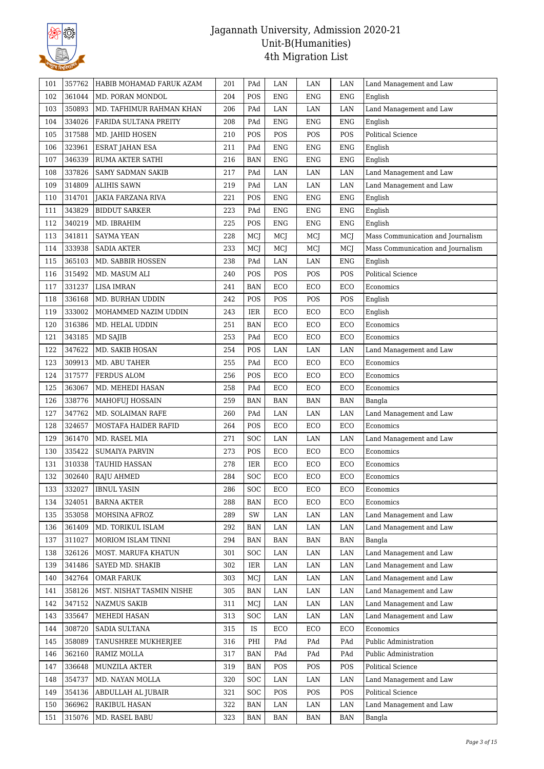

| 101 | 357762           | HABIB MOHAMAD FARUK AZAM              | 201        | PAd               | LAN        | LAN         | LAN         | Land Management and Law           |
|-----|------------------|---------------------------------------|------------|-------------------|------------|-------------|-------------|-----------------------------------|
| 102 | 361044           | MD. PORAN MONDOL                      | 204        | POS               | <b>ENG</b> | ENG         | <b>ENG</b>  | English                           |
| 103 | 350893           | MD. TAFHIMUR RAHMAN KHAN              | 206        | PAd               | LAN        | LAN         | LAN         | Land Management and Law           |
| 104 | 334026           | FARIDA SULTANA PREITY                 | 208        | PAd               | <b>ENG</b> | <b>ENG</b>  | <b>ENG</b>  | English                           |
| 105 | 317588           | MD. JAHID HOSEN                       | 210        | POS               | POS        | POS         | POS         | <b>Political Science</b>          |
| 106 | 323961           | ESRAT JAHAN ESA                       | 211        | PAd               | <b>ENG</b> | <b>ENG</b>  | <b>ENG</b>  | English                           |
| 107 | 346339           | RUMA AKTER SATHI                      | 216        | <b>BAN</b>        | <b>ENG</b> | <b>ENG</b>  | <b>ENG</b>  | English                           |
| 108 | 337826           | <b>SAMY SADMAN SAKIB</b>              | 217        | PAd               | LAN        | $\rm LAN$   | LAN         | Land Management and Law           |
| 109 | 314809           | <b>ALIHIS SAWN</b>                    | 219        | PAd               | LAN        | LAN         | LAN         | Land Management and Law           |
| 110 | 314701           | JAKIA FARZANA RIVA                    | 221        | POS               | <b>ENG</b> | <b>ENG</b>  | <b>ENG</b>  | English                           |
| 111 | 343829           | <b>BIDDUT SARKER</b>                  | 223        | PAd               | <b>ENG</b> | <b>ENG</b>  | <b>ENG</b>  | English                           |
| 112 | 340219           | MD. IBRAHIM                           | 225        | POS               | <b>ENG</b> | ${\rm ENG}$ | ${\rm ENG}$ | English                           |
| 113 | 341811           | SAYMA YEAN                            | 228        | MCJ               | MCJ        | MCJ         | MCJ         | Mass Communication and Journalism |
| 114 | 333938           | <b>SADIA AKTER</b>                    | 233        | MCI               | MCJ        | MCJ         | MCJ         | Mass Communication and Journalism |
| 115 | 365103           | MD. SABBIR HOSSEN                     | 238        | PAd               | LAN        | LAN         | <b>ENG</b>  | English                           |
| 116 | 315492           | MD. MASUM ALI                         | 240        | POS               | POS        | POS         | POS         | <b>Political Science</b>          |
| 117 | 331237           | <b>LISA IMRAN</b>                     | 241        | <b>BAN</b>        | ECO        | ECO         | ECO         | Economics                         |
| 118 | 336168           | MD. BURHAN UDDIN                      | 242        | POS               | POS        | POS         | POS         | English                           |
| 119 | 333002           | MOHAMMED NAZIM UDDIN                  | 243        | IER               | ECO        | ECO         | ECO         | English                           |
| 120 | 316386           | MD. HELAL UDDIN                       | 251        | <b>BAN</b>        | ECO        | ECO         | ECO         | Economics                         |
| 121 | 343185           | MD SAJIB                              | 253        | PAd               | ECO        | ECO         | ECO         | Economics                         |
| 122 | 347622           | MD. SAKIB HOSAN                       | 254        | POS               | LAN        | LAN         | LAN         | Land Management and Law           |
| 123 | 309913           | MD. ABU TAHER                         | 255        | PAd               | ECO        | ECO         | ECO         | Economics                         |
| 124 | 317577           | FERDUS ALOM                           | 256        | POS               | ECO        | ECO         | ECO         | Economics                         |
| 125 | 363067           | MD. MEHEDI HASAN                      | 258        | PAd               | ECO        | ECO         | ECO         | Economics                         |
| 126 | 338776           | MAHOFUJ HOSSAIN                       | 259        | <b>BAN</b>        | <b>BAN</b> | <b>BAN</b>  | <b>BAN</b>  | Bangla                            |
| 127 | 347762           | MD. SOLAIMAN RAFE                     | 260        | PAd               | LAN        | LAN         | LAN         | Land Management and Law           |
| 128 | 324657           | MOSTAFA HAIDER RAFID                  | 264        | POS               | ECO        | ECO         | ECO         | Economics                         |
| 129 | 361470           | MD. RASEL MIA                         | 271        | <b>SOC</b>        | LAN        | LAN         | LAN         | Land Management and Law           |
| 130 | 335422           | <b>SUMAIYA PARVIN</b>                 | 273        | POS               | ECO        | ECO         | ECO         | Economics                         |
| 131 | 310338           | <b>TAUHID HASSAN</b>                  | 278        | IER               | ECO        | ECO         | ECO         | Economics                         |
| 132 | 302640           | <b>RAJU AHMED</b>                     | 284        | <b>SOC</b>        | ECO        | ECO         | ECO         | Economics                         |
| 133 | 332027           | <b>IBNUL YASIN</b>                    | 286        | <b>SOC</b>        | ECO        | ECO         | ECO         | Economics                         |
|     | 324051           | <b>BARNA AKTER</b>                    | 288        | <b>BAN</b>        | ECO        | ECO         | ECO         | Economics                         |
| 134 |                  |                                       |            |                   |            |             |             |                                   |
| 135 | 353058           | MOHSINA AFROZ                         | 289        | SW                | LAN        | LAN         | LAN         | Land Management and Law           |
| 136 | 361409           | MD. TORIKUL ISLAM                     | 292        | <b>BAN</b>        | LAN        | LAN         | LAN         | Land Management and Law           |
| 137 | 311027<br>326126 | MORIOM ISLAM TINNI                    | 294<br>301 | BAN<br><b>SOC</b> | BAN<br>LAN | BAN<br>LAN  | BAN<br>LAN  | Bangla<br>Land Management and Law |
| 138 |                  | MOST. MARUFA KHATUN                   |            |                   |            |             |             |                                   |
| 139 | 341486           | SAYED MD. SHAKIB<br><b>OMAR FARUK</b> | 302        | IER               | LAN        | LAN         | LAN         | Land Management and Law           |
| 140 | 342764           |                                       | 303        | MCJ               | LAN        | LAN         | LAN         | Land Management and Law           |
| 141 | 358126           | MST. NISHAT TASMIN NISHE              | 305        | <b>BAN</b>        | LAN        | LAN         | LAN         | Land Management and Law           |
| 142 | 347152           | <b>NAZMUS SAKIB</b>                   | 311        | MCJ               | LAN        | LAN         | LAN         | Land Management and Law           |
| 143 | 335647           | MEHEDI HASAN                          | 313        | <b>SOC</b>        | LAN        | LAN         | LAN         | Land Management and Law           |
| 144 | 308720           | SADIA SULTANA                         | 315        | IS                | ECO        | ECO         | ECO         | Economics                         |
| 145 | 358089           | TANUSHREE MUKHERJEE                   | 316        | PHI               | PAd        | PAd         | PAd         | Public Administration             |
| 146 | 362160           | RAMIZ MOLLA                           | 317        | <b>BAN</b>        | PAd        | PAd         | PAd         | Public Administration             |
| 147 | 336648           | MUNZILA AKTER                         | 319        | <b>BAN</b>        | POS        | POS         | POS         | Political Science                 |
| 148 | 354737           | MD. NAYAN MOLLA                       | 320        | <b>SOC</b>        | LAN        | LAN         | LAN         | Land Management and Law           |
| 149 | 354136           | ABDULLAH AL JUBAIR                    | 321        | <b>SOC</b>        | POS        | POS         | POS         | Political Science                 |
| 150 | 366962           | RAKIBUL HASAN                         | 322        | <b>BAN</b>        | LAN        | LAN         | LAN         | Land Management and Law           |
| 151 | 315076           | MD. RASEL BABU                        | 323        | <b>BAN</b>        | BAN        | BAN         | BAN         | Bangla                            |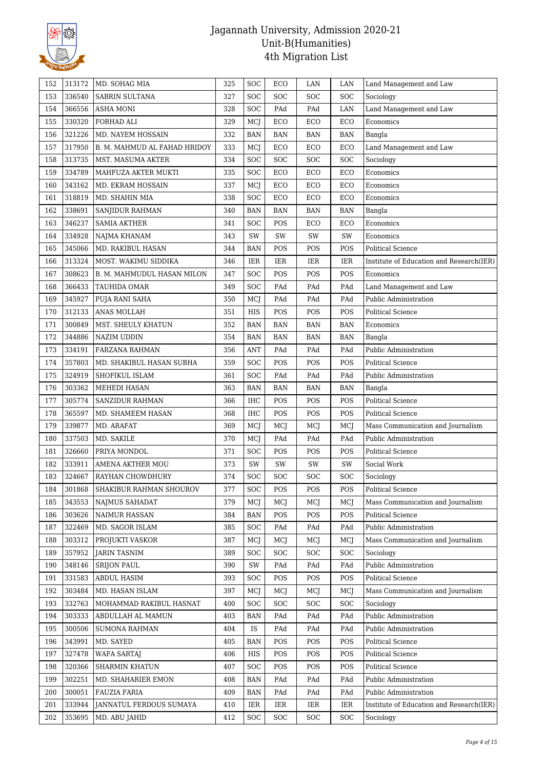

| 152 | 313172 | MD. SOHAG MIA                | 325 | SOC        | ECO        | LAN                         | LAN        | Land Management and Law                  |
|-----|--------|------------------------------|-----|------------|------------|-----------------------------|------------|------------------------------------------|
| 153 | 336540 | SABRIN SULTANA               | 327 | SOC        | SOC        | <b>SOC</b>                  | SOC        | Sociology                                |
| 154 | 366556 | ASHA MONI                    | 328 | <b>SOC</b> | PAd        | PAd                         | LAN        | Land Management and Law                  |
| 155 | 330320 | FORHAD ALI                   | 329 | MCJ        | ECO        | ECO                         | ECO        | Economics                                |
| 156 | 321226 | MD. NAYEM HOSSAIN            | 332 | <b>BAN</b> | <b>BAN</b> | <b>BAN</b>                  | <b>BAN</b> | Bangla                                   |
| 157 | 317950 | B. M. MAHMUD AL FAHAD HRIDOY | 333 | MCJ        | ECO        | ECO                         | ECO        | Land Management and Law                  |
| 158 | 313735 | MST. MASUMA AKTER            | 334 | SOC        | SOC        | SOC                         | SOC        | Sociology                                |
| 159 | 334789 | MAHFUZA AKTER MUKTI          | 335 | SOC        | ECO        | ECO                         | ECO        | Economics                                |
| 160 | 343162 | MD. EKRAM HOSSAIN            | 337 | MCJ        | ECO        | ECO                         | ECO        | Economics                                |
| 161 | 318819 | MD. SHAHIN MIA               | 338 | <b>SOC</b> | ECO        | ECO                         | ECO        | Economics                                |
| 162 | 338691 | SANJIDUR RAHMAN              | 340 | <b>BAN</b> | <b>BAN</b> | <b>BAN</b>                  | <b>BAN</b> | Bangla                                   |
| 163 | 346237 | <b>SAMIA AKTHER</b>          | 341 | SOC        | POS        | ECO                         | ECO        | Economics                                |
| 164 | 334928 | NAJMA KHANAM                 | 343 | SW         | SW         | SW                          | SW         | Economics                                |
| 165 | 345066 | MD. RAKIBUL HASAN            | 344 | <b>BAN</b> | POS        | POS                         | POS        | <b>Political Science</b>                 |
| 166 | 313324 | MOST. WAKIMU SIDDIKA         | 346 | IER        | IER        | IER                         | IER        | Institute of Education and Research(IER) |
| 167 | 308623 | B. M. MAHMUDUL HASAN MILON   | 347 | <b>SOC</b> | POS        | POS                         | POS        | Economics                                |
| 168 | 366433 | TAUHIDA OMAR                 | 349 | SOC        | PAd        | PAd                         | PAd        | Land Management and Law                  |
| 169 | 345927 | PUJA RANI SAHA               | 350 | MCJ        | PAd        | PAd                         | PAd        | Public Administration                    |
| 170 | 312133 | ANAS MOLLAH                  | 351 | HIS        | POS        | POS                         | POS        | <b>Political Science</b>                 |
| 171 | 300849 | MST. SHEULY KHATUN           | 352 | <b>BAN</b> | <b>BAN</b> | <b>BAN</b>                  | <b>BAN</b> | Economics                                |
| 172 | 344886 | <b>NAZIM UDDIN</b>           | 354 | <b>BAN</b> | <b>BAN</b> | <b>BAN</b>                  | <b>BAN</b> | Bangla                                   |
| 173 | 334191 | FARZANA RAHMAN               | 356 | <b>ANT</b> | PAd        | PAd                         | PAd        | Public Administration                    |
| 174 | 357803 | MD. SHAKIBUL HASAN SUBHA     | 359 | <b>SOC</b> | POS        | POS                         | POS        | Political Science                        |
| 175 | 324919 | SHOFIKUL ISLAM               | 361 | SOC        | PAd        | PAd                         | PAd        | Public Administration                    |
| 176 | 303362 | <b>MEHEDI HASAN</b>          | 363 | BAN        | <b>BAN</b> | $\ensuremath{\mathsf{BAN}}$ | <b>BAN</b> | Bangla                                   |
| 177 | 305774 | SANZIDUR RAHMAN              | 366 | IHC        | POS        | POS                         | POS        | <b>Political Science</b>                 |
| 178 | 365597 | MD. SHAMEEM HASAN            | 368 | <b>IHC</b> | POS        | POS                         | POS        | <b>Political Science</b>                 |
| 179 | 339877 | MD. ARAFAT                   | 369 | MCJ        | MCJ        | MCJ                         | MCJ        | Mass Communication and Journalism        |
| 180 | 337503 | MD. SAKILE                   | 370 | MCJ        | PAd        | PAd                         | PAd        | Public Administration                    |
| 181 | 326660 | PRIYA MONDOL                 | 371 | SOC        | POS        | POS                         | POS        | <b>Political Science</b>                 |
| 182 | 333911 | <b>AMENA AKTHER MOU</b>      | 373 | SW         | SW         | SW                          | SW         | Social Work                              |
| 183 | 324667 | RAYHAN CHOWDHURY             | 374 | SOC        | SOC        | <b>SOC</b>                  | SOC        | Sociology                                |
| 184 | 301868 | SHAKIBUR RAHMAN SHOUROV      | 377 | SOC        | POS        | POS                         | POS        | Political Science                        |
| 185 | 343553 | <b>NAIMUS SAHADAT</b>        | 379 | MCJ        | MCI        | MCI                         | MCJ        | Mass Communication and Journalism        |
| 186 | 303626 | <b>NAIMUR HASSAN</b>         | 384 | <b>BAN</b> | POS        | POS                         | POS        | <b>Political Science</b>                 |
| 187 | 322469 | MD. SAGOR ISLAM              | 385 | <b>SOC</b> | PAd        | PAd                         | PAd        | Public Administration                    |
| 188 | 303312 | PROJUKTI VASKOR              | 387 | MCI        | MCJ        | MCJ                         | MCJ        | Mass Communication and Journalism        |
| 189 | 357952 | <b>JARIN TASNIM</b>          | 389 | <b>SOC</b> | <b>SOC</b> | <b>SOC</b>                  | SOC        | Sociology                                |
| 190 | 348146 | <b>SRIJON PAUL</b>           | 390 | SW         | PAd        | PAd                         | PAd        | Public Administration                    |
| 191 | 331583 | <b>ABDUL HASIM</b>           | 393 | SOC        | POS        | POS                         | POS        | Political Science                        |
| 192 | 303484 | MD. HASAN ISLAM              | 397 | MCI        | MCJ        | MCJ                         | MCJ        | Mass Communication and Journalism        |
| 193 | 332763 | MOHAMMAD RAKIBUL HASNAT      | 400 | <b>SOC</b> | <b>SOC</b> | <b>SOC</b>                  | <b>SOC</b> | Sociology                                |
| 194 | 303333 | ABDULLAH AL MAMUN            | 403 | BAN        | PAd        | PAd                         | PAd        | Public Administration                    |
| 195 | 300506 | <b>SUMONA RAHMAN</b>         | 404 | IS         | PAd        | PAd                         | PAd        | Public Administration                    |
| 196 | 343991 | MD. SAYED                    | 405 | BAN        | POS        | POS                         | POS        | Political Science                        |
| 197 | 327478 | <b>WAFA SARTAJ</b>           | 406 | HIS        | POS        | POS                         | POS        | Political Science                        |
| 198 | 320366 | <b>SHARMIN KHATUN</b>        | 407 | <b>SOC</b> | POS        | POS                         | POS        | Political Science                        |
| 199 | 302251 | MD. SHAHARIER EMON           | 408 | <b>BAN</b> | PAd        | PAd                         | PAd        | Public Administration                    |
| 200 | 300051 | <b>FAUZIA FARIA</b>          | 409 | <b>BAN</b> | PAd        | $\mathop{\mathrm{PAd}}$     | PAd        | Public Administration                    |
| 201 | 333944 | JANNATUL FERDOUS SUMAYA      | 410 | IER        | IER        | IER                         | IER        | Institute of Education and Research(IER) |
| 202 | 353695 | MD. ABU JAHID                | 412 | <b>SOC</b> | <b>SOC</b> | <b>SOC</b>                  | <b>SOC</b> | Sociology                                |
|     |        |                              |     |            |            |                             |            |                                          |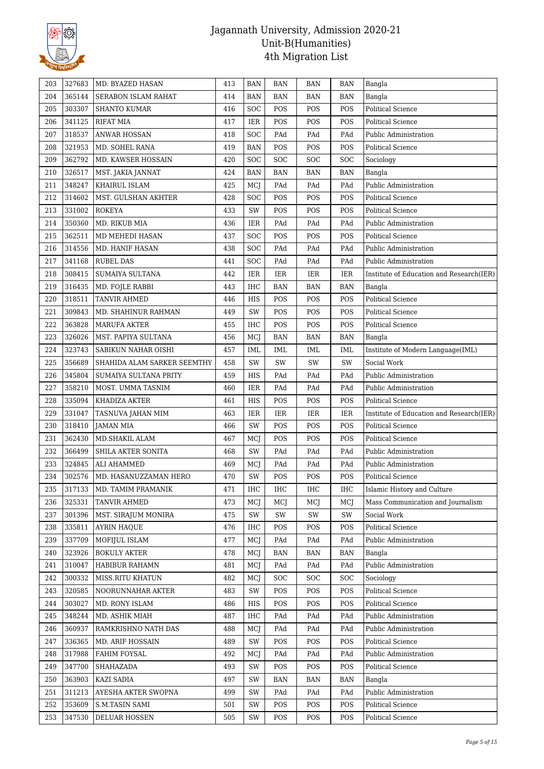

| 203 | 327683 | MD. BYAZED HASAN            | 413 | <b>BAN</b>  | BAN        | <b>BAN</b> | <b>BAN</b> | Bangla                                   |
|-----|--------|-----------------------------|-----|-------------|------------|------------|------------|------------------------------------------|
| 204 | 365144 | <b>SERABON ISLAM RAHAT</b>  | 414 | <b>BAN</b>  | <b>BAN</b> | <b>BAN</b> | <b>BAN</b> | Bangla                                   |
| 205 | 303307 | <b>SHANTO KUMAR</b>         | 416 | SOC         | POS        | POS        | POS        | <b>Political Science</b>                 |
| 206 | 341125 | <b>RIFAT MIA</b>            | 417 | <b>IER</b>  | POS        | POS        | POS        | <b>Political Science</b>                 |
| 207 | 318537 | <b>ANWAR HOSSAN</b>         | 418 | SOC         | PAd        | PAd        | PAd        | Public Administration                    |
| 208 | 321953 | MD. SOHEL RANA              | 419 | <b>BAN</b>  | POS        | POS        | POS        | Political Science                        |
| 209 | 362792 | MD. KAWSER HOSSAIN          | 420 | SOC         | SOC        | SOC        | SOC        | Sociology                                |
| 210 | 326517 | MST. JAKIA JANNAT           | 424 | BAN         | <b>BAN</b> | <b>BAN</b> | <b>BAN</b> | Bangla                                   |
| 211 | 348247 | KHAIRUL ISLAM               | 425 | MCJ         | PAd        | PAd        | PAd        | Public Administration                    |
| 212 | 314602 | MST. GULSHAN AKHTER         | 428 | <b>SOC</b>  | POS        | POS        | POS        | <b>Political Science</b>                 |
| 213 | 331002 | <b>ROKEYA</b>               | 433 | SW          | POS        | POS        | POS        | <b>Political Science</b>                 |
| 214 | 350360 | MD. RIKUB MIA               | 436 | <b>IER</b>  | PAd        | PAd        | PAd        | Public Administration                    |
| 215 | 362511 | MD MEHEDI HASAN             | 437 | <b>SOC</b>  | POS        | POS        | POS        | Political Science                        |
| 216 | 314556 | MD. HANIF HASAN             | 438 | SOC         | PAd        | PAd        | PAd        | Public Administration                    |
| 217 | 341168 | <b>RUBEL DAS</b>            | 441 | SOC         | PAd        | PAd        | PAd        | Public Administration                    |
| 218 | 308415 | SUMAIYA SULTANA             | 442 | IER         | IER        | <b>IER</b> | IER        | Institute of Education and Research(IER) |
| 219 | 316435 | MD. FOJLE RABBI             | 443 | <b>IHC</b>  | <b>BAN</b> | <b>BAN</b> | <b>BAN</b> | Bangla                                   |
| 220 | 318511 | <b>TANVIR AHMED</b>         | 446 | <b>HIS</b>  | POS        | POS        | POS        | <b>Political Science</b>                 |
| 221 | 309843 | MD. SHAHINUR RAHMAN         | 449 | SW          | POS        | POS        | POS        | Political Science                        |
| 222 | 363828 | <b>MARUFA AKTER</b>         | 455 | <b>IHC</b>  | POS        | POS        | POS        | Political Science                        |
| 223 | 326026 | MST. PAPIYA SULTANA         | 456 | MCI         | <b>BAN</b> | <b>BAN</b> | <b>BAN</b> | Bangla                                   |
| 224 | 323743 | SABIKUN NAHAR OISHI         | 457 | IML         | IML        | <b>IML</b> | IML        | Institute of Modern Language(IML)        |
| 225 | 356689 | SHAHIDA ALAM SARKER SEEMTHY | 458 | SW          | SW         | SW         | SW         | Social Work                              |
| 226 | 345804 | SUMAIYA SULTANA PRITY       | 459 | HIS         | PAd        | PAd        | PAd        | Public Administration                    |
| 227 | 358210 | MOST. UMMA TASNIM           | 460 | IER         | PAd        | PAd        | PAd        | Public Administration                    |
| 228 | 335094 | KHADIZA AKTER               | 461 | ${\rm HIS}$ | POS        | POS        | POS        | Political Science                        |
| 229 | 331047 | TASNUVA JAHAN MIM           | 463 | IER         | IER        | <b>IER</b> | IER        | Institute of Education and Research(IER) |
| 230 | 318410 | JAMAN MIA                   | 466 | SW          | POS        | POS        | POS        | Political Science                        |
| 231 | 362430 | MD.SHAKIL ALAM              | 467 | MCJ         | POS        | POS        | POS        | Political Science                        |
| 232 | 366499 | SHILA AKTER SONITA          | 468 | SW          | PAd        | PAd        | PAd        | Public Administration                    |
| 233 | 324845 | ALI AHAMMED                 | 469 | MCJ         | PAd        | PAd        | PAd        | Public Administration                    |
| 234 | 302576 | MD. HASANUZZAMAN HERO       | 470 | SW          | POS        | POS        | POS        | Political Science                        |
| 235 | 317133 | MD. TAMIM PRAMANIK          | 471 | IHC         | IHC        | IHC        | IHC        | Islamic History and Culture              |
| 236 | 325331 | <b>TANVIR AHMED</b>         | 473 | MCI         | MCJ        | MCI        | MCJ        | Mass Communication and Journalism        |
| 237 | 301396 | MST. SIRAJUM MONIRA         | 475 | SW          | SW         | SW         | SW         | Social Work                              |
| 238 | 335811 | <b>AYRIN HAQUE</b>          | 476 | <b>IHC</b>  | POS        | POS        | POS        | Political Science                        |
| 239 | 337709 | MOFIJUL ISLAM               | 477 | MCJ         | PAd        | PAd        | PAd        | Public Administration                    |
| 240 | 323926 | <b>BOKULY AKTER</b>         | 478 | MCJ         | BAN        | BAN        | <b>BAN</b> | Bangla                                   |
| 241 | 310047 | HABIBUR RAHAMN              | 481 | MCJ         | PAd        | PAd        | PAd        | Public Administration                    |
| 242 | 300332 | MISS.RITU KHATUN            | 482 | MCJ         | <b>SOC</b> | <b>SOC</b> | <b>SOC</b> | Sociology                                |
| 243 | 320585 | NOORUNNAHAR AKTER           | 483 | SW          | POS        | POS        | POS        | Political Science                        |
| 244 | 303027 | MD. RONY ISLAM              | 486 | HIS         | POS        | POS        | POS        | Political Science                        |
| 245 | 348244 | MD. ASHIK MIAH              | 487 | IHC         | PAd        | PAd        | PAd        | Public Administration                    |
| 246 | 360937 | RAMKRISHNO NATH DAS         | 488 | MCI         | PAd        | PAd        | PAd        | Public Administration                    |
| 247 | 336365 | MD. ARIF HOSSAIN            | 489 | SW          | POS        | POS        | POS        | Political Science                        |
| 248 | 317988 | FAHIM FOYSAL                | 492 | MCJ         | PAd        | PAd        | PAd        | Public Administration                    |
| 249 | 347700 | SHAHAZADA                   | 493 | SW          | POS        | POS        | POS        | Political Science                        |
| 250 | 363903 | KAZI SADIA                  | 497 | SW          | BAN        | BAN        | <b>BAN</b> | Bangla                                   |
| 251 | 311213 | AYESHA AKTER SWOPNA         | 499 | SW          | PAd        | PAd        | PAd        | Public Administration                    |
| 252 | 353609 | <b>S.M.TASIN SAMI</b>       | 501 | SW          | POS        | POS        | POS        | Political Science                        |
| 253 | 347530 | DELUAR HOSSEN               | 505 | SW          | POS        | POS        | POS        | Political Science                        |
|     |        |                             |     |             |            |            |            |                                          |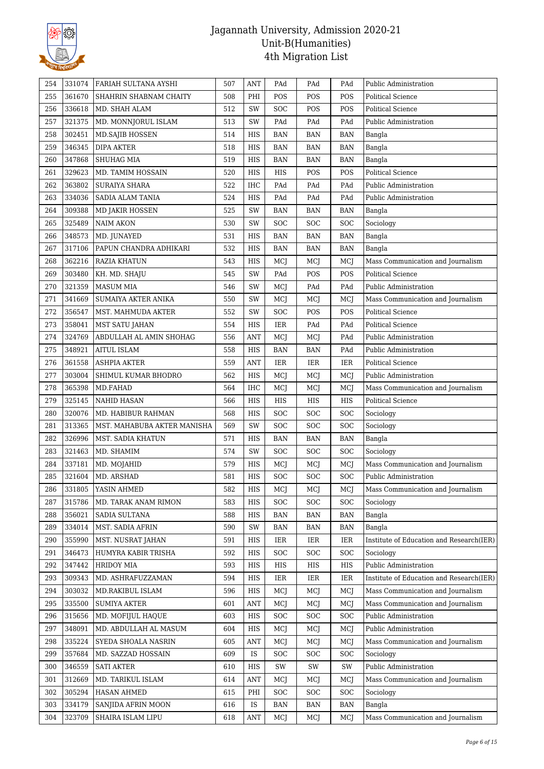

| 254 | 331074 | FARIAH SULTANA AYSHI        | 507 | ANT        | PAd        | PAd        | PAd        | Public Administration                    |
|-----|--------|-----------------------------|-----|------------|------------|------------|------------|------------------------------------------|
| 255 | 361670 | SHAHRIN SHABNAM CHAITY      | 508 | PHI        | POS        | POS        | POS        | <b>Political Science</b>                 |
| 256 | 336618 | MD. SHAH ALAM               | 512 | SW         | <b>SOC</b> | POS        | POS        | <b>Political Science</b>                 |
| 257 | 321375 | MD. MONNJORUL ISLAM         | 513 | SW         | PAd        | PAd        | PAd        | Public Administration                    |
| 258 | 302451 | <b>MD.SAJIB HOSSEN</b>      | 514 | HIS        | BAN        | <b>BAN</b> | <b>BAN</b> | Bangla                                   |
| 259 | 346345 | DIPA AKTER                  | 518 | HIS        | BAN        | <b>BAN</b> | <b>BAN</b> | Bangla                                   |
| 260 | 347868 | SHUHAG MIA                  | 519 | HIS        | BAN        | <b>BAN</b> | <b>BAN</b> | Bangla                                   |
| 261 | 329623 | MD. TAMIM HOSSAIN           | 520 | HIS        | HIS        | POS        | POS        | Political Science                        |
| 262 | 363802 | <b>SURAIYA SHARA</b>        | 522 | <b>IHC</b> | PAd        | PAd        | PAd        | Public Administration                    |
| 263 | 334036 | SADIA ALAM TANIA            | 524 | HIS        | PAd        | PAd        | PAd        | Public Administration                    |
| 264 | 309388 | MD JAKIR HOSSEN             | 525 | SW         | <b>BAN</b> | <b>BAN</b> | <b>BAN</b> | Bangla                                   |
| 265 | 325489 | <b>NAIM AKON</b>            | 530 | SW         | <b>SOC</b> | SOC        | SOC        | Sociology                                |
| 266 | 348573 | MD. JUNAYED                 | 531 | HIS        | BAN        | <b>BAN</b> | <b>BAN</b> | Bangla                                   |
| 267 | 317106 | PAPUN CHANDRA ADHIKARI      | 532 | HIS        | <b>BAN</b> | <b>BAN</b> | <b>BAN</b> | Bangla                                   |
| 268 | 362216 | RAZIA KHATUN                | 543 | HIS        | MCJ        | MCJ        | MCJ        | Mass Communication and Journalism        |
| 269 | 303480 | KH. MD. SHAJU               | 545 | SW         | PAd        | POS        | POS        | <b>Political Science</b>                 |
| 270 | 321359 | <b>MASUM MIA</b>            | 546 | SW         | MCJ        | PAd        | PAd        | Public Administration                    |
| 271 | 341669 | SUMAIYA AKTER ANIKA         | 550 | SW         | MCJ        | MCJ        | MCJ        | Mass Communication and Journalism        |
| 272 | 356547 | MST. MAHMUDA AKTER          | 552 | SW         | <b>SOC</b> | POS        | POS        | <b>Political Science</b>                 |
| 273 | 358041 | <b>MST SATU JAHAN</b>       | 554 | HIS        | IER        | PAd        | PAd        | <b>Political Science</b>                 |
| 274 | 324769 | ABDULLAH AL AMIN SHOHAG     | 556 | <b>ANT</b> | MCJ        | MCJ        | PAd        | Public Administration                    |
| 275 | 348921 | <b>AITUL ISLAM</b>          | 558 | HIS        | <b>BAN</b> | <b>BAN</b> | PAd        | Public Administration                    |
| 276 | 361558 | <b>ASHPIA AKTER</b>         | 559 | <b>ANT</b> | IER        | <b>IER</b> | <b>IER</b> | Political Science                        |
| 277 | 303004 | SHIMUL KUMAR BHODRO         | 562 | HIS        | MCI        | MCJ        | MCJ        | Public Administration                    |
| 278 | 365398 | MD.FAHAD                    | 564 | <b>IHC</b> | MCJ        | MCJ        | MCJ        | Mass Communication and Journalism        |
| 279 | 325145 | <b>NAHID HASAN</b>          | 566 | HIS        | HIS        | HIS        | HIS        | Political Science                        |
| 280 | 320076 | MD. HABIBUR RAHMAN          | 568 | HIS        | SOC        | SOC        | SOC        | Sociology                                |
| 281 | 313365 | MST. MAHABUBA AKTER MANISHA | 569 | SW         | <b>SOC</b> | <b>SOC</b> | SOC        | Sociology                                |
| 282 | 326996 | MST. SADIA KHATUN           | 571 | HIS        | BAN        | <b>BAN</b> | <b>BAN</b> | Bangla                                   |
| 283 | 321463 | MD. SHAMIM                  | 574 | SW         | <b>SOC</b> | <b>SOC</b> | SOC        | Sociology                                |
| 284 | 337181 | MD. MOJAHID                 | 579 | HIS        | MCJ        | MCJ        | MCJ        | Mass Communication and Journalism        |
| 285 | 321604 | MD. ARSHAD                  | 581 | <b>HIS</b> | <b>SOC</b> | SOC        | SOC        | Public Administration                    |
| 286 | 331805 | YASIN AHMED                 | 582 | HIS        | MCJ        | MCJ        | MCJ        | Mass Communication and Journalism        |
| 287 | 315786 | MD. TARAK ANAM RIMON        | 583 | <b>HIS</b> | <b>SOC</b> | SOC        | SOC        | Sociology                                |
| 288 | 356021 | SADIA SULTANA               | 588 | HIS        | BAN        | BAN        | <b>BAN</b> | Bangla                                   |
| 289 | 334014 | MST. SADIA AFRIN            | 590 | SW         | <b>BAN</b> | BAN        | <b>BAN</b> | Bangla                                   |
| 290 | 355990 | MST. NUSRAT JAHAN           | 591 | HIS        | IER        | IER        | IER        | Institute of Education and Research(IER) |
| 291 | 346473 | HUMYRA KABIR TRISHA         | 592 | HIS        | SOC        | SOC        | SOC        | Sociology                                |
| 292 | 347442 | <b>HRIDOY MIA</b>           | 593 | HIS        | HIS        | HIS        | HIS        | Public Administration                    |
| 293 | 309343 | MD. ASHRAFUZZAMAN           | 594 | HIS        | IER        | <b>IER</b> | IER        | Institute of Education and Research(IER) |
| 294 | 303032 | MD.RAKIBUL ISLAM            | 596 | HIS        | MCJ        | MCJ        | MCJ        | Mass Communication and Journalism        |
| 295 | 335500 | <b>SUMIYA AKTER</b>         | 601 | <b>ANT</b> | MCJ        | MCJ        | MCJ        | Mass Communication and Journalism        |
| 296 | 315656 | MD. MOFIJUL HAQUE           | 603 | HIS        | <b>SOC</b> | <b>SOC</b> | SOC        | Public Administration                    |
|     | 348091 | MD. ABDULLAH AL MASUM       | 604 | HIS        |            |            |            | Public Administration                    |
| 297 | 335224 |                             | 605 | <b>ANT</b> | MCJ        | MCJ        | MCJ        | Mass Communication and Journalism        |
| 298 |        | SYEDA SHOALA NASRIN         |     |            | MCJ        | MCJ        | MCJ        |                                          |
| 299 | 357684 | MD. SAZZAD HOSSAIN          | 609 | IS         | SOC        | SOC        | SOC        | Sociology                                |
| 300 | 346559 | <b>SATI AKTER</b>           | 610 | HIS        | SW         | SW         | SW         | Public Administration                    |
| 301 | 312669 | MD. TARIKUL ISLAM           | 614 | ANT        | MCJ        | MCJ        | MCJ        | Mass Communication and Journalism        |
| 302 | 305294 | <b>HASAN AHMED</b>          | 615 | PHI        | <b>SOC</b> | SOC        | SOC        | Sociology                                |
| 303 | 334179 | SANJIDA AFRIN MOON          | 616 | IS         | <b>BAN</b> | <b>BAN</b> | <b>BAN</b> | Bangla                                   |
| 304 | 323709 | SHAIRA ISLAM LIPU           | 618 | ANT        | MCJ        | MCJ        | MCJ        | Mass Communication and Journalism        |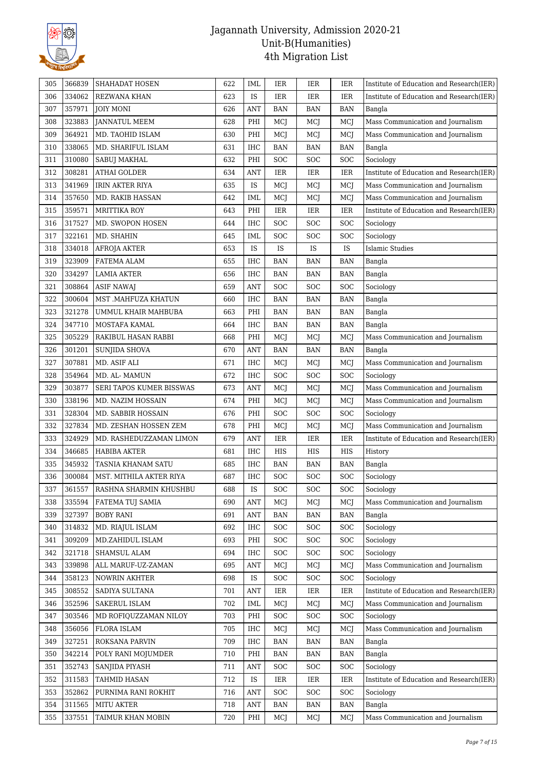

| 305 | 366839 | SHAHADAT HOSEN           | 622 | <b>IML</b> | IER        | IER                         | IER        | Institute of Education and Research(IER) |
|-----|--------|--------------------------|-----|------------|------------|-----------------------------|------------|------------------------------------------|
| 306 | 334062 | <b>REZWANA KHAN</b>      | 623 | IS         | <b>IER</b> | IER                         | <b>IER</b> | Institute of Education and Research(IER) |
| 307 | 357971 | <b>JOIY MONI</b>         | 626 | <b>ANT</b> | <b>BAN</b> | <b>BAN</b>                  | <b>BAN</b> | Bangla                                   |
| 308 | 323883 | <b>JANNATUL MEEM</b>     | 628 | PHI        | MCJ        | MCJ                         | MCJ        | Mass Communication and Journalism        |
| 309 | 364921 | MD. TAOHID ISLAM         | 630 | PHI        | MCJ        | MCJ                         | MCJ        | Mass Communication and Journalism        |
| 310 | 338065 | MD. SHARIFUL ISLAM       | 631 | IHC        | <b>BAN</b> | <b>BAN</b>                  | <b>BAN</b> | Bangla                                   |
| 311 | 310080 | SABUJ MAKHAL             | 632 | PHI        | SOC        | SOC                         | SOC        | Sociology                                |
| 312 | 308281 | <b>ATHAI GOLDER</b>      | 634 | <b>ANT</b> | IER        | <b>IER</b>                  | IER        | Institute of Education and Research(IER) |
| 313 | 341969 | <b>IRIN AKTER RIYA</b>   | 635 | IS         | MCJ        | MCJ                         | MCJ        | Mass Communication and Journalism        |
| 314 | 357650 | <b>MD. RAKIB HASSAN</b>  | 642 | IML        | MCJ        | MCJ                         | MCJ        | Mass Communication and Journalism        |
| 315 | 359571 | <b>MRITTIKA ROY</b>      | 643 | PHI        | IER        | <b>IER</b>                  | <b>IER</b> | Institute of Education and Research(IER) |
| 316 | 317527 | MD. SWOPON HOSEN         | 644 | IHC        | SOC        | SOC                         | <b>SOC</b> | Sociology                                |
| 317 | 322161 | MD. SHAHIN               | 645 | <b>IML</b> | <b>SOC</b> | SOC                         | SOC        | Sociology                                |
| 318 | 334018 | AFROJA AKTER             | 653 | IS         | IS         | IS                          | IS         | <b>Islamic Studies</b>                   |
| 319 | 323909 | FATEMA ALAM              | 655 | <b>IHC</b> | <b>BAN</b> | <b>BAN</b>                  | <b>BAN</b> | Bangla                                   |
| 320 | 334297 | <b>LAMIA AKTER</b>       | 656 | <b>IHC</b> | <b>BAN</b> | <b>BAN</b>                  | <b>BAN</b> | Bangla                                   |
| 321 | 308864 | <b>ASIF NAWAJ</b>        | 659 | <b>ANT</b> | SOC        | SOC                         | SOC        | Sociology                                |
| 322 | 300604 | MST .MAHFUZA KHATUN      | 660 | IHC        | <b>BAN</b> | <b>BAN</b>                  | <b>BAN</b> | Bangla                                   |
| 323 | 321278 | UMMUL KHAIR MAHBUBA      | 663 | PHI        | <b>BAN</b> | <b>BAN</b>                  | <b>BAN</b> | Bangla                                   |
| 324 | 347710 | MOSTAFA KAMAL            | 664 | IHC        | <b>BAN</b> | <b>BAN</b>                  | <b>BAN</b> | Bangla                                   |
| 325 | 305229 | RAKIBUL HASAN RABBI      | 668 | PHI        | MCJ        | MCJ                         | MCJ        | Mass Communication and Journalism        |
| 326 | 301201 | SUNJIDA SHOVA            | 670 | ANT        | <b>BAN</b> | <b>BAN</b>                  | <b>BAN</b> | Bangla                                   |
| 327 | 307881 | MD. ASIF ALI             | 671 | <b>IHC</b> | MCJ        | MCJ                         | MCJ        | Mass Communication and Journalism        |
| 328 | 354964 | MD. AL-MAMUN             | 672 | <b>IHC</b> | <b>SOC</b> | SOC                         | <b>SOC</b> | Sociology                                |
| 329 | 303877 | SERI TAPOS KUMER BISSWAS | 673 | ANT        | MCJ        | MCJ                         | MCJ        | Mass Communication and Journalism        |
| 330 | 338196 | MD. NAZIM HOSSAIN        | 674 | PHI        | MCJ        | MCJ                         | MCJ        | Mass Communication and Journalism        |
| 331 | 328304 | MD. SABBIR HOSSAIN       | 676 | PHI        | SOC        | SOC                         | SOC        | Sociology                                |
| 332 | 327834 | MD. ZESHAN HOSSEN ZEM    | 678 | PHI        | MCJ        | MCJ                         | MCJ        | Mass Communication and Journalism        |
| 333 | 324929 | MD. RASHEDUZZAMAN LIMON  | 679 | <b>ANT</b> | <b>IER</b> | <b>IER</b>                  | IER        | Institute of Education and Research(IER) |
| 334 | 346685 | <b>HABIBA AKTER</b>      | 681 | IHC        | HIS        | HIS                         | HIS        | History                                  |
| 335 | 345932 | TASNIA KHANAM SATU       | 685 | IHC        | <b>BAN</b> | <b>BAN</b>                  | <b>BAN</b> | Bangla                                   |
| 336 | 300084 | MST. MITHILA AKTER RIYA  | 687 | IHC        | <b>SOC</b> | SOC                         | SOC        | Sociology                                |
| 337 | 361557 | RASHNA SHARMIN KHUSHBU   | 688 | IS         | <b>SOC</b> | SOC                         | SOC        | Sociology                                |
| 338 | 335594 | <b>FATEMA TUJ SAMIA</b>  | 690 | <b>ANT</b> | MCJ        | MCJ                         | MCJ        | Mass Communication and Journalism        |
| 339 | 327397 | <b>BOBY RANI</b>         | 691 | <b>ANT</b> | <b>BAN</b> | <b>BAN</b>                  | <b>BAN</b> | Bangla                                   |
| 340 | 314832 | MD. RIAJUL ISLAM         | 692 | IHC        | SOC        | SOC                         | SOC        | Sociology                                |
| 341 | 309209 | MD.ZAHIDUL ISLAM         | 693 | PHI        | SOC        | SOC                         | SOC        | Sociology                                |
| 342 | 321718 | SHAMSUL ALAM             | 694 | IHC        | SOC        | <b>SOC</b>                  | SOC        | Sociology                                |
| 343 | 339898 | ALL MARUF-UZ-ZAMAN       | 695 | ANT        | MCJ        | MCJ                         | MCJ        | Mass Communication and Journalism        |
| 344 | 358123 | <b>NOWRIN AKHTER</b>     | 698 | IS         | <b>SOC</b> | <b>SOC</b>                  | SOC        | Sociology                                |
| 345 | 308552 | SADIYA SULTANA           | 701 | <b>ANT</b> | <b>IER</b> | IER                         | IER        | Institute of Education and Research(IER) |
| 346 | 352596 | SAKERUL ISLAM            | 702 | <b>IML</b> | MCJ        | MCJ                         | MCJ        | Mass Communication and Journalism        |
| 347 | 303546 | MD ROFIQUZZAMAN NILOY    | 703 | PHI        | <b>SOC</b> | <b>SOC</b>                  | <b>SOC</b> | Sociology                                |
| 348 | 356056 | <b>FLORA ISLAM</b>       | 705 | IHC        | MCJ        | MCJ                         | MCI        | Mass Communication and Journalism        |
| 349 | 327251 | ROKSANA PARVIN           | 709 | IHC        | BAN        | $\ensuremath{\mathsf{BAN}}$ | <b>BAN</b> | Bangla                                   |
| 350 | 342214 | POLY RANI MOJUMDER       | 710 | PHI        | BAN        | BAN                         | <b>BAN</b> | Bangla                                   |
| 351 | 352743 | SANJIDA PIYASH           | 711 | ANT        | SOC        | <b>SOC</b>                  | <b>SOC</b> | Sociology                                |
| 352 | 311583 | <b>TAHMID HASAN</b>      | 712 | IS         | IER        | IER                         | IER        | Institute of Education and Research(IER) |
| 353 | 352862 | PURNIMA RANI ROKHIT      | 716 | <b>ANT</b> | <b>SOC</b> | SOC                         | SOC        | Sociology                                |
| 354 | 311565 | MITU AKTER               | 718 | <b>ANT</b> | <b>BAN</b> | <b>BAN</b>                  | <b>BAN</b> | Bangla                                   |
| 355 | 337551 | TAIMUR KHAN MOBIN        | 720 | PHI        | MCJ        | MCJ                         | MCI        | Mass Communication and Journalism        |
|     |        |                          |     |            |            |                             |            |                                          |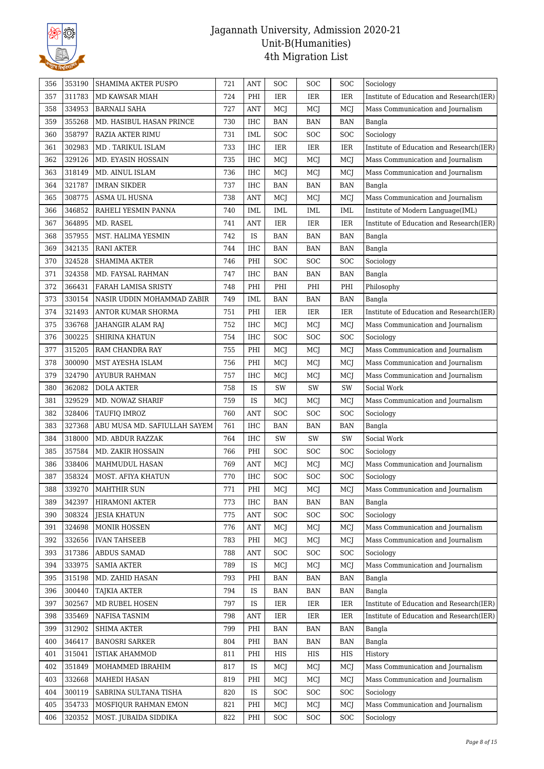

| 356 | 353190 | SHAMIMA AKTER PUSPO          | 721 | <b>ANT</b> | SOC        | SOC        | SOC        | Sociology                                |
|-----|--------|------------------------------|-----|------------|------------|------------|------------|------------------------------------------|
| 357 | 311783 | MD KAWSAR MIAH               | 724 | PHI        | <b>IER</b> | IER        | IER        | Institute of Education and Research(IER) |
| 358 | 334953 | <b>BARNALI SAHA</b>          | 727 | ANT        | MCJ        | MCJ        | MCJ        | Mass Communication and Journalism        |
| 359 | 355268 | MD. HASIBUL HASAN PRINCE     | 730 | <b>IHC</b> | <b>BAN</b> | <b>BAN</b> | <b>BAN</b> | Bangla                                   |
| 360 | 358797 | RAZIA AKTER RIMU             | 731 | IML        | SOC        | SOC        | SOC        | Sociology                                |
| 361 | 302983 | MD . TARIKUL ISLAM           | 733 | $\rm IHC$  | IER        | <b>IER</b> | IER        | Institute of Education and Research(IER) |
| 362 | 329126 | MD. EYASIN HOSSAIN           | 735 | IHC        | MCJ        | MCJ        | MCJ        | Mass Communication and Journalism        |
| 363 | 318149 | MD. AINUL ISLAM              | 736 | $\rm IHC$  | MCJ        | MCJ        | MCJ        | Mass Communication and Journalism        |
| 364 | 321787 | <b>IMRAN SIKDER</b>          | 737 | <b>IHC</b> | <b>BAN</b> | <b>BAN</b> | <b>BAN</b> | Bangla                                   |
| 365 | 308775 | ASMA UL HUSNA                | 738 | ANT        | MCJ        | MCJ        | MCJ        | Mass Communication and Journalism        |
| 366 | 346852 | RAHELI YESMIN PANNA          | 740 | <b>IML</b> | IML        | <b>IML</b> | IML        | Institute of Modern Language(IML)        |
| 367 | 364895 | MD. RASEL                    | 741 | <b>ANT</b> | <b>IER</b> | <b>IER</b> | <b>IER</b> | Institute of Education and Research(IER) |
| 368 | 357955 | MST. HALIMA YESMIN           | 742 | IS         | <b>BAN</b> | <b>BAN</b> | <b>BAN</b> | Bangla                                   |
| 369 | 342135 | <b>RANI AKTER</b>            | 744 | IHC        | <b>BAN</b> | <b>BAN</b> | <b>BAN</b> | Bangla                                   |
| 370 | 324528 | SHAMIMA AKTER                | 746 | PHI        | SOC        | SOC        | SOC        | Sociology                                |
| 371 | 324358 | MD. FAYSAL RAHMAN            | 747 | IHC        | <b>BAN</b> | <b>BAN</b> | <b>BAN</b> | Bangla                                   |
| 372 | 366431 | FARAH LAMISA SRISTY          | 748 | PHI        | PHI        | PHI        | PHI        | Philosophy                               |
| 373 | 330154 | NASIR UDDIN MOHAMMAD ZABIR   | 749 | <b>IML</b> | <b>BAN</b> | <b>BAN</b> | <b>BAN</b> | Bangla                                   |
| 374 | 321493 | ANTOR KUMAR SHORMA           | 751 | PHI        | <b>IER</b> | IER        | <b>IER</b> | Institute of Education and Research(IER) |
| 375 | 336768 | JAHANGIR ALAM RAJ            | 752 | IHC        | MCJ        | MCJ        | MCJ        | Mass Communication and Journalism        |
| 376 | 300225 | <b>SHIRINA KHATUN</b>        | 754 | <b>IHC</b> | SOC        | SOC        | <b>SOC</b> | Sociology                                |
| 377 | 315205 | RAM CHANDRA RAY              | 755 | PHI        | MCJ        | MCJ        | MCJ        | Mass Communication and Journalism        |
| 378 | 300090 | MST AYESHA ISLAM             | 756 | PHI        | MCJ        | MCJ        | MCJ        | Mass Communication and Journalism        |
| 379 | 324790 | <b>AYUBUR RAHMAN</b>         | 757 | $\rm IHC$  | MCJ        | MCJ        | MCJ        | Mass Communication and Journalism        |
| 380 | 362082 | <b>DOLA AKTER</b>            | 758 | IS         | SW         | SW         | SW         | Social Work                              |
| 381 | 329529 | MD. NOWAZ SHARIF             | 759 | IS         | MCJ        | MCJ        | MCJ        | Mass Communication and Journalism        |
| 382 | 328406 | TAUFIQ IMROZ                 | 760 | <b>ANT</b> | SOC        | SOC        | SOC        | Sociology                                |
| 383 | 327368 | ABU MUSA MD. SAFIULLAH SAYEM | 761 | <b>IHC</b> | <b>BAN</b> | <b>BAN</b> | <b>BAN</b> | Bangla                                   |
| 384 | 318000 | MD. ABDUR RAZZAK             | 764 | <b>IHC</b> | SW         | SW         | SW         | Social Work                              |
| 385 | 357584 | <b>MD. ZAKIR HOSSAIN</b>     | 766 | PHI        | SOC        | <b>SOC</b> | SOC        | Sociology                                |
|     |        | <b>MAHMUDUL HASAN</b>        | 769 |            |            |            |            | Mass Communication and Journalism        |
| 386 | 338406 |                              |     | <b>ANT</b> | MCJ        | MCJ        | MCJ        |                                          |
| 387 | 358324 | MOST. AFIYA KHATUN           | 770 | IHC        | SOC        | SOC        | SOC        | Sociology                                |
| 388 | 339270 | <b>MAHTHIR SUN</b>           | 771 | PHI        | MCJ        | MCJ        | MCJ        | Mass Communication and Journalism        |
| 389 | 342397 | <b>HIRAMONI AKTER</b>        | 773 | IHC        | <b>BAN</b> | <b>BAN</b> | <b>BAN</b> | Bangla                                   |
| 390 | 308324 | <b>JESIA KHATUN</b>          | 775 | <b>ANT</b> | SOC        | SOC        | SOC        | Sociology                                |
| 391 | 324698 | MONIR HOSSEN                 | 776 | <b>ANT</b> | MCJ        | MCJ        | MCJ        | Mass Communication and Journalism        |
| 392 | 332656 | <b>IVAN TAHSEEB</b>          | 783 | PHI        | MCJ        | MCJ        | MCI        | Mass Communication and Journalism        |
| 393 | 317386 | ABDUS SAMAD                  | 788 | ANT        | <b>SOC</b> | <b>SOC</b> | <b>SOC</b> | Sociology                                |
| 394 | 333975 | <b>SAMIA AKTER</b>           | 789 | IS         | MCJ        | MCJ        | MCJ        | Mass Communication and Journalism        |
| 395 | 315198 | MD. ZAHID HASAN              | 793 | PHI        | BAN        | <b>BAN</b> | BAN        | Bangla                                   |
| 396 | 300440 | <b>TAJKIA AKTER</b>          | 794 | IS         | <b>BAN</b> | <b>BAN</b> | <b>BAN</b> | Bangla                                   |
| 397 | 302567 | MD RUBEL HOSEN               | 797 | IS         | IER        | IER        | IER        | Institute of Education and Research(IER) |
| 398 | 335469 | NAFISA TASNIM                | 798 | <b>ANT</b> | IER        | <b>IER</b> | IER        | Institute of Education and Research(IER) |
| 399 | 312902 | <b>SHIMA AKTER</b>           | 799 | PHI        | <b>BAN</b> | <b>BAN</b> | <b>BAN</b> | Bangla                                   |
| 400 | 346417 | <b>BANOSRI SARKER</b>        | 804 | PHI        | <b>BAN</b> | <b>BAN</b> | <b>BAN</b> | Bangla                                   |
| 401 | 315041 | <b>ISTIAK AHAMMOD</b>        | 811 | PHI        | HIS        | HIS        | HIS        | History                                  |
| 402 | 351849 | MOHAMMED IBRAHIM             | 817 | IS         | MCJ        | MCJ        | MCJ        | Mass Communication and Journalism        |
| 403 | 332668 | <b>MAHEDI HASAN</b>          | 819 | PHI        | MCJ        | MCJ        | MCJ        | Mass Communication and Journalism        |
| 404 | 300119 | SABRINA SULTANA TISHA        | 820 | IS         | <b>SOC</b> | <b>SOC</b> | <b>SOC</b> | Sociology                                |
| 405 | 354733 | MOSFIQUR RAHMAN EMON         | 821 | PHI        | MCJ        | MCJ        | MCI        | Mass Communication and Journalism        |
| 406 | 320352 | MOST. JUBAIDA SIDDIKA        | 822 | PHI        | SOC        | <b>SOC</b> | <b>SOC</b> | Sociology                                |
|     |        |                              |     |            |            |            |            |                                          |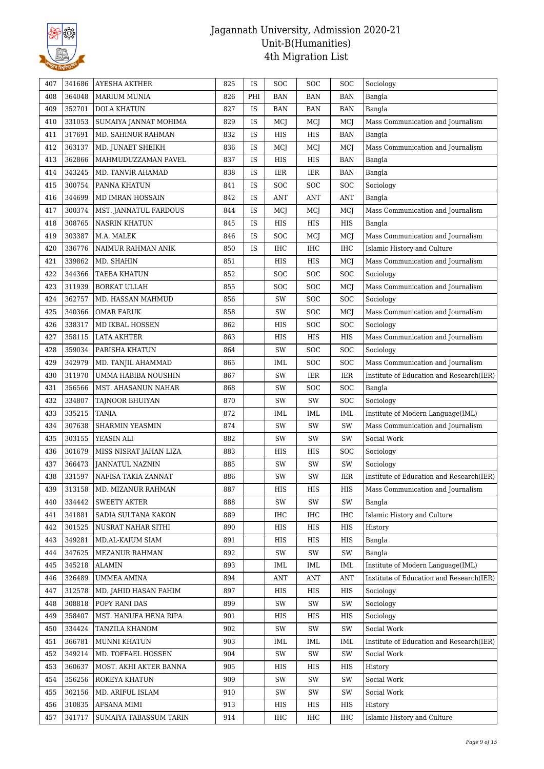

| 407 | 341686 | <b>AYESHA AKTHER</b>   | 825 | IS  | <b>SOC</b> | SOC        | SOC        | Sociology                                |
|-----|--------|------------------------|-----|-----|------------|------------|------------|------------------------------------------|
| 408 | 364048 | <b>MARIUM MUNIA</b>    | 826 | PHI | <b>BAN</b> | <b>BAN</b> | <b>BAN</b> | Bangla                                   |
| 409 | 352701 | DOLA KHATUN            | 827 | IS  | <b>BAN</b> | <b>BAN</b> | <b>BAN</b> | Bangla                                   |
| 410 | 331053 | SUMAIYA JANNAT MOHIMA  | 829 | IS  | MCJ        | MCJ        | MCJ        | Mass Communication and Journalism        |
| 411 | 317691 | MD. SAHINUR RAHMAN     | 832 | IS  | HIS        | <b>HIS</b> | <b>BAN</b> | Bangla                                   |
| 412 | 363137 | MD. JUNAET SHEIKH      | 836 | IS  | MCJ        | MCJ        | MCJ        | Mass Communication and Journalism        |
| 413 | 362866 | MAHMUDUZZAMAN PAVEL    | 837 | IS  | HIS        | HIS        | <b>BAN</b> | Bangla                                   |
| 414 | 343245 | MD. TANVIR AHAMAD      | 838 | IS  | IER        | $\rm IER$  | <b>BAN</b> | Bangla                                   |
| 415 | 300754 | PANNA KHATUN           | 841 | IS  | SOC        | SOC        | SOC        | Sociology                                |
| 416 | 344699 | MD IMRAN HOSSAIN       | 842 | IS  | <b>ANT</b> | <b>ANT</b> | <b>ANT</b> | Bangla                                   |
| 417 | 300374 | MST. JANNATUL FARDOUS  | 844 | IS  | MCJ        | MCJ        | MCJ        | Mass Communication and Journalism        |
| 418 | 308765 | <b>NASRIN KHATUN</b>   | 845 | IS  | HIS        | HIS        | HIS        | Bangla                                   |
| 419 | 303387 | M.A. MALEK             | 846 | IS  | <b>SOC</b> | MCJ        | MCJ        | Mass Communication and Journalism        |
| 420 | 336776 | NAIMUR RAHMAN ANIK     | 850 | IS  | <b>IHC</b> | IHC        | IHC        | Islamic History and Culture              |
| 421 | 339862 | MD. SHAHIN             | 851 |     | HIS        | HIS        | MCJ        | Mass Communication and Journalism        |
| 422 | 344366 | <b>TAEBA KHATUN</b>    | 852 |     | <b>SOC</b> | SOC        | SOC        | Sociology                                |
| 423 | 311939 | <b>BORKAT ULLAH</b>    | 855 |     | SOC        | SOC        | MCJ        | Mass Communication and Journalism        |
| 424 | 362757 | MD. HASSAN MAHMUD      | 856 |     | SW         | SOC        | SOC        | Sociology                                |
| 425 | 340366 | <b>OMAR FARUK</b>      | 858 |     | SW         | SOC        | MCJ        | Mass Communication and Journalism        |
| 426 | 338317 | MD IKBAL HOSSEN        | 862 |     | HIS        | <b>SOC</b> | SOC        | Sociology                                |
| 427 | 358115 | <b>LATA AKHTER</b>     | 863 |     | HIS        | HIS        | HIS        | Mass Communication and Journalism        |
| 428 | 359034 | PARISHA KHATUN         | 864 |     | SW         | <b>SOC</b> | SOC        | Sociology                                |
| 429 | 342979 | MD. TANJIL AHAMMAD     | 865 |     | IML        | SOC        | SOC        | Mass Communication and Journalism        |
| 430 | 311970 | UMMA HABIBA NOUSHIN    | 867 |     | SW         | <b>IER</b> | <b>IER</b> | Institute of Education and Research(IER) |
| 431 | 356566 | MST. AHASANUN NAHAR    | 868 |     | SW         | SOC        | SOC        | Bangla                                   |
| 432 | 334807 | TAJNOOR BHUIYAN        | 870 |     | SW         | SW         | SOC        | Sociology                                |
| 433 | 335215 | <b>TANIA</b>           | 872 |     | <b>IML</b> | <b>IML</b> | IML        | Institute of Modern Language(IML)        |
| 434 | 307638 | <b>SHARMIN YEASMIN</b> | 874 |     | SW         | SW         | SW         | Mass Communication and Journalism        |
| 435 | 303155 | YEASIN ALI             | 882 |     | SW         | SW         | SW         | Social Work                              |
| 436 | 301679 | MISS NISRAT JAHAN LIZA | 883 |     | HIS        | HIS        | SOC        | Sociology                                |
| 437 | 366473 | <b>JANNATUL NAZNIN</b> | 885 |     | SW         | SW         | SW         | Sociology                                |
| 438 | 331597 | NAFISA TAKIA ZANNAT    | 886 |     | SW         | SW         | IER        | Institute of Education and Research(IER) |
| 439 | 313158 | MD. MIZANUR RAHMAN     | 887 |     | HIS        | HIS        | HIS        | Mass Communication and Journalism        |
| 440 | 334442 | <b>SWEETY AKTER</b>    | 888 |     | SW         | SW         | SW         | Bangla                                   |
| 441 | 341881 | SADIA SULTANA KAKON    | 889 |     | IHC        | IHC        | IHC        | Islamic History and Culture              |
| 442 | 301525 | NUSRAT NAHAR SITHI     | 890 |     | HIS        | HIS        | HIS        | History                                  |
| 443 | 349281 | MD.AL-KAIUM SIAM       | 891 |     | HIS        | HIS        | HIS        | Bangla                                   |
| 444 | 347625 | <b>MEZANUR RAHMAN</b>  | 892 |     | SW         | SW         | SW         | Bangla                                   |
| 445 | 345218 | <b>ALAMIN</b>          | 893 |     | IML        | IML        | IML        | Institute of Modern Language(IML)        |
| 446 | 326489 | <b>UMMEA AMINA</b>     | 894 |     | ANT        | ANT        | <b>ANT</b> | Institute of Education and Research(IER) |
| 447 | 312578 | MD. JAHID HASAN FAHIM  | 897 |     | HIS        | HIS        | HIS        | Sociology                                |
| 448 | 308818 | POPY RANI DAS          | 899 |     | SW         | SW         | SW         | Sociology                                |
| 449 | 358407 | MST. HANUFA HENA RIPA  | 901 |     | HIS        | HIS        | HIS        | Sociology                                |
| 450 | 334424 | TANZILA KHANOM         | 902 |     | SW         | SW         | SW         | Social Work                              |
| 451 | 366781 | MUNNI KHATUN           | 903 |     | IML        | IML        | IML        | Institute of Education and Research(IER) |
| 452 | 349214 | MD. TOFFAEL HOSSEN     | 904 |     | SW         | SW         | SW         | Social Work                              |
| 453 | 360637 | MOST. AKHI AKTER BANNA | 905 |     | HIS        | HIS        | HIS        | History                                  |
| 454 | 356256 | ROKEYA KHATUN          | 909 |     | SW         | SW         | SW         | Social Work                              |
| 455 | 302156 | MD. ARIFUL ISLAM       | 910 |     | SW         | SW         | SW         | Social Work                              |
| 456 | 310835 | AFSANA MIMI            | 913 |     | HIS        | HIS        | HIS        | History                                  |
| 457 | 341717 | SUMAIYA TABASSUM TARIN | 914 |     | IHC        | IHC        | IHC        | Islamic History and Culture              |
|     |        |                        |     |     |            |            |            |                                          |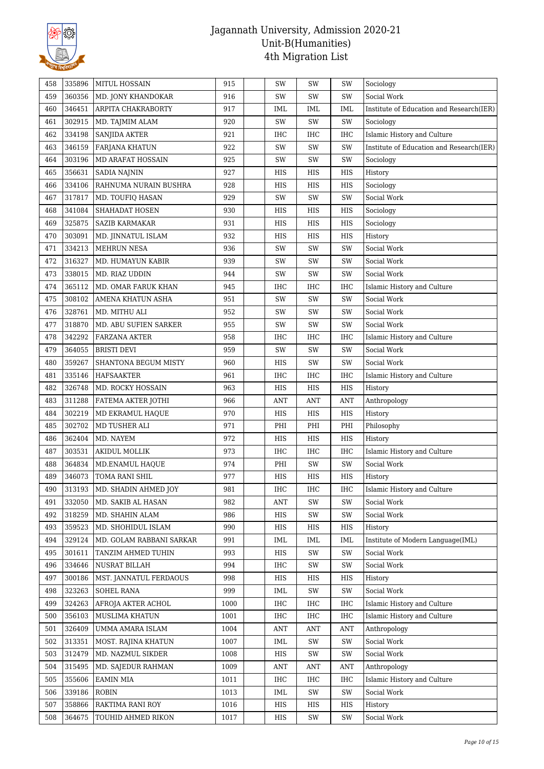

| 458 | 335896 | <b>MITUL HOSSAIN</b>     | 915  | SW         | SW         | SW         | Sociology                                |
|-----|--------|--------------------------|------|------------|------------|------------|------------------------------------------|
| 459 | 360356 | MD. JONY KHANDOKAR       | 916  | SW         | SW         | SW         | Social Work                              |
| 460 | 346451 | ARPITA CHAKRABORTY       | 917  | <b>IML</b> | <b>IML</b> | IML        | Institute of Education and Research(IER) |
| 461 | 302915 | MD. TAJMIM ALAM          | 920  | SW         | SW         | SW         | Sociology                                |
| 462 | 334198 | <b>SANJIDA AKTER</b>     | 921  | IHC        | IHC        | <b>IHC</b> | Islamic History and Culture              |
| 463 | 346159 | <b>FARJANA KHATUN</b>    | 922  | SW         | SW         | SW         | Institute of Education and Research(IER) |
| 464 | 303196 | MD ARAFAT HOSSAIN        | 925  | SW         | SW         | SW         | Sociology                                |
| 465 | 356631 | <b>SADIA NAJNIN</b>      | 927  | HIS        | HIS        | HIS        | History                                  |
| 466 | 334106 | RAHNUMA NURAIN BUSHRA    | 928  | HIS        | HIS        | HIS        | Sociology                                |
| 467 | 317817 | MD. TOUFIQ HASAN         | 929  | SW         | SW         | SW         | Social Work                              |
| 468 | 341084 | SHAHADAT HOSEN           | 930  | HIS        | HIS        | HIS        | Sociology                                |
| 469 | 325875 | <b>SAZIB KARMAKAR</b>    | 931  | HIS        | HIS        | HIS        | Sociology                                |
| 470 | 303091 | MD. JINNATUL ISLAM       | 932  | HIS        | HIS        | HIS        | History                                  |
| 471 | 334213 | <b>MEHRUN NESA</b>       | 936  | SW         | SW         | SW         | Social Work                              |
| 472 | 316327 | MD. HUMAYUN KABIR        | 939  | SW         | SW         | SW         | Social Work                              |
| 473 | 338015 | MD. RIAZ UDDIN           | 944  | SW         | SW         | SW         | Social Work                              |
| 474 | 365112 | MD. OMAR FARUK KHAN      | 945  | IHC        | IHC        | <b>IHC</b> | Islamic History and Culture              |
| 475 | 308102 | AMENA KHATUN ASHA        | 951  | SW         | SW         | SW         | Social Work                              |
| 476 | 328761 | MD. MITHU ALI            | 952  | SW         | SW         | SW         | Social Work                              |
| 477 | 318870 | MD. ABU SUFIEN SARKER    | 955  | SW         | SW         | SW         | Social Work                              |
| 478 | 342292 | FARZANA AKTER            | 958  | IHC        | <b>IHC</b> | <b>IHC</b> | Islamic History and Culture              |
| 479 | 364055 | <b>BRISTI DEVI</b>       | 959  | SW         | SW         | SW         | Social Work                              |
| 480 | 359267 | SHANTONA BEGUM MISTY     | 960  | HIS        | SW         | SW         | Social Work                              |
| 481 | 335146 | HAFSAAKTER               | 961  | IHC        | IHC        | IHC        | Islamic History and Culture              |
| 482 | 326748 | MD. ROCKY HOSSAIN        | 963  | HIS        | HIS        | HIS        | History                                  |
| 483 | 311288 | FATEMA AKTER JOTHI       | 966  | <b>ANT</b> | <b>ANT</b> | <b>ANT</b> | Anthropology                             |
| 484 | 302219 | MD EKRAMUL HAQUE         | 970  | HIS        | HIS        | HIS        | History                                  |
| 485 | 302702 | MD TUSHER ALI            | 971  | PHI        | PHI        | PHI        | Philosophy                               |
| 486 | 362404 | MD. NAYEM                | 972  | HIS        | HIS        | HIS        | History                                  |
| 487 | 303531 | <b>AKIDUL MOLLIK</b>     | 973  | IHC        | IHC        | IHC        | Islamic History and Culture              |
| 488 | 364834 | MD.ENAMUL HAQUE          | 974  | PHI        | SW         | SW         | Social Work                              |
| 489 | 346073 | TOMA RANI SHIL           | 977  | HIS        | HIS        | HIS        | History                                  |
| 490 | 313193 | MD. SHADIN AHMED JOY     | 981  | IHC        | IHC        | IHC        | Islamic History and Culture              |
| 491 | 332050 | MD. SAKIB AL HASAN       | 982  | <b>ANT</b> | SW         | SW         | Social Work                              |
| 492 | 318259 | MD. SHAHIN ALAM          | 986  | HIS        | SW         | SW         | Social Work                              |
| 493 | 359523 | MD. SHOHIDUL ISLAM       | 990  | HIS        | HIS        | HIS        | History                                  |
| 494 | 329124 | MD. GOLAM RABBANI SARKAR | 991  | IML        | IML        | IML        | Institute of Modern Language(IML)        |
| 495 | 301611 | TANZIM AHMED TUHIN       | 993  | HIS        | SW         | SW         | Social Work                              |
| 496 | 334646 | NUSRAT BILLAH            | 994  | IHC        | SW         | SW         | Social Work                              |
| 497 | 300186 | MST. JANNATUL FERDAOUS   | 998  | HIS        | HIS        | HIS        | History                                  |
| 498 | 323263 | SOHEL RANA               | 999  | IML        | SW         | SW         | Social Work                              |
| 499 | 324263 | AFROJA AKTER ACHOL       | 1000 | IHC        | IHC        | IHC        | Islamic History and Culture              |
| 500 | 356103 | MUSLIMA KHATUN           | 1001 | IHC        | IHC        | IHC        | Islamic History and Culture              |
| 501 | 326409 | UMMA AMARA ISLAM         | 1004 | ANT        | ANT        | ANT        | Anthropology                             |
| 502 | 313351 | MOST. RAJINA KHATUN      | 1007 | IML        | SW         | SW         | Social Work                              |
| 503 | 312479 | MD. NAZMUL SIKDER        | 1008 | HIS        | SW         | SW         | Social Work                              |
| 504 | 315495 | MD. SAJEDUR RAHMAN       | 1009 | <b>ANT</b> | ANT        | <b>ANT</b> | Anthropology                             |
| 505 | 355606 | <b>EAMIN MIA</b>         | 1011 | IHC        | IHC        | IHC        | Islamic History and Culture              |
| 506 | 339186 | <b>ROBIN</b>             | 1013 | IML        | SW         | SW         | Social Work                              |
| 507 | 358866 | RAKTIMA RANI ROY         | 1016 | HIS        | HIS        | HIS        | History                                  |
| 508 | 364675 | TOUHID AHMED RIKON       | 1017 | HIS        | SW         | SW         | Social Work                              |
|     |        |                          |      |            |            |            |                                          |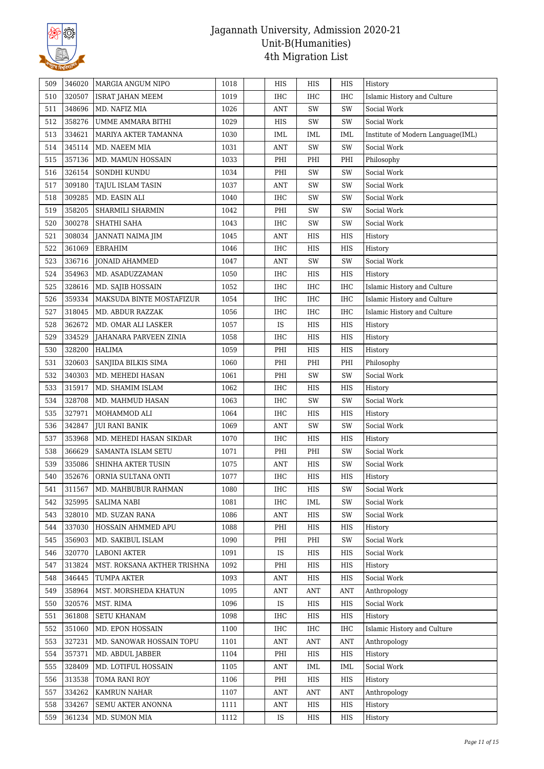

| 509 | 346020 | MARGIA ANGUM NIPO           | 1018 | HIS        | HIS        | HIS        | History                           |
|-----|--------|-----------------------------|------|------------|------------|------------|-----------------------------------|
| 510 | 320507 | ISRAT JAHAN MEEM            | 1019 | IHC        | <b>IHC</b> | <b>IHC</b> | Islamic History and Culture       |
| 511 | 348696 | MD. NAFIZ MIA               | 1026 | <b>ANT</b> | SW         | SW         | Social Work                       |
| 512 | 358276 | UMME AMMARA BITHI           | 1029 | HIS        | SW         | SW         | Social Work                       |
| 513 | 334621 | MARIYA AKTER TAMANNA        | 1030 | <b>IML</b> | <b>IML</b> | IML        | Institute of Modern Language(IML) |
| 514 | 345114 | MD. NAEEM MIA               | 1031 | <b>ANT</b> | SW         | SW         | Social Work                       |
| 515 | 357136 | MD. MAMUN HOSSAIN           | 1033 | PHI        | PHI        | PHI        | Philosophy                        |
| 516 | 326154 | SONDHI KUNDU                | 1034 | PHI        | SW         | SW         | Social Work                       |
| 517 | 309180 | TAJUL ISLAM TASIN           | 1037 | <b>ANT</b> | SW         | SW         | Social Work                       |
| 518 | 309285 | MD. EASIN ALI               | 1040 | IHC        | SW         | SW         | Social Work                       |
| 519 | 358205 | SHARMILI SHARMIN            | 1042 | PHI        | SW         | SW         | Social Work                       |
| 520 | 300278 | SHATHI SAHA                 | 1043 | IHC        | SW         | SW         | Social Work                       |
| 521 | 308034 | JANNATI NAIMA JIM           | 1045 | <b>ANT</b> | HIS        | HIS        | History                           |
| 522 | 361069 | EBRAHIM                     | 1046 | IHC        | HIS        | HIS        | History                           |
| 523 | 336716 | <b>JONAID AHAMMED</b>       | 1047 | <b>ANT</b> | SW         | SW         | Social Work                       |
| 524 | 354963 | MD. ASADUZZAMAN             | 1050 | IHC        | HIS        | HIS        | History                           |
| 525 | 328616 | MD. SAJIB HOSSAIN           | 1052 | IHC        | IHC        | IHC        | Islamic History and Culture       |
| 526 | 359334 | MAKSUDA BINTE MOSTAFIZUR    | 1054 | IHC        | <b>IHC</b> | <b>IHC</b> | Islamic History and Culture       |
| 527 | 318045 | MD. ABDUR RAZZAK            | 1056 | IHC        | <b>IHC</b> | IHC        | Islamic History and Culture       |
| 528 | 362672 | MD. OMAR ALI LASKER         | 1057 | IS         | HIS        | HIS        | History                           |
| 529 | 334529 | JAHANARA PARVEEN ZINIA      | 1058 | IHC        | HIS        | HIS        | History                           |
| 530 | 328200 | HALIMA                      | 1059 | PHI        | HIS        | HIS        | History                           |
| 531 | 320603 | SANJIDA BILKIS SIMA         | 1060 | PHI        | PHI        | PHI        | Philosophy                        |
| 532 | 340303 | MD. MEHEDI HASAN            | 1061 | PHI        | SW         | SW         | Social Work                       |
| 533 | 315917 | MD. SHAMIM ISLAM            | 1062 | IHC        | HIS        | HIS        | History                           |
| 534 | 328708 | MD. MAHMUD HASAN            | 1063 | IHC        | SW         | SW         | Social Work                       |
| 535 | 327971 | MOHAMMOD ALI                | 1064 | IHC        | HIS        | HIS        | History                           |
| 536 | 342847 | JUI RANI BANIK              | 1069 | <b>ANT</b> | SW         | SW         | Social Work                       |
| 537 | 353968 | MD. MEHEDI HASAN SIKDAR     | 1070 | IHC        | HIS        | HIS        |                                   |
| 538 | 366629 | SAMANTA ISLAM SETU          | 1071 | PHI        | PHI        | SW         | History<br>Social Work            |
| 539 | 335086 |                             | 1075 | <b>ANT</b> | HIS        | SW         | Social Work                       |
|     |        | SHINHA AKTER TUSIN          |      |            |            |            |                                   |
| 540 | 352676 | ORNIA SULTANA ONTI          | 1077 | IHC        | HIS        | <b>HIS</b> | History                           |
| 541 | 311567 | MD. MAHBUBUR RAHMAN         | 1080 | IHC        | HIS        | SW         | Social Work                       |
| 542 | 325995 | <b>SALIMA NABI</b>          | 1081 | IHC        | IML        | SW         | Social Work                       |
| 543 | 328010 | MD. SUZAN RANA              | 1086 | ANT        | HIS        | SW         | Social Work                       |
| 544 | 337030 | HOSSAIN AHMMED APU          | 1088 | PHI        | HIS        | HIS        | History                           |
| 545 | 356903 | MD. SAKIBUL ISLAM           | 1090 | PHI        | PHI        | SW         | Social Work                       |
| 546 | 320770 | LABONI AKTER                | 1091 | <b>IS</b>  | HIS        | HIS        | Social Work                       |
| 547 | 313824 | MST. ROKSANA AKTHER TRISHNA | 1092 | PHI        | HIS        | HIS        | History                           |
| 548 | 346445 | <b>TUMPA AKTER</b>          | 1093 | <b>ANT</b> | HIS        | HIS        | Social Work                       |
| 549 | 358964 | MST. MORSHEDA KHATUN        | 1095 | <b>ANT</b> | ANT        | <b>ANT</b> | Anthropology                      |
| 550 | 320576 | MST. RIMA                   | 1096 | IS         | HIS        | HIS        | Social Work                       |
| 551 | 361808 | <b>SETU KHANAM</b>          | 1098 | IHC        | HIS        | HIS        | History                           |
| 552 | 351060 | MD. EPON HOSSAIN            | 1100 | IHC        | IHC        | <b>IHC</b> | Islamic History and Culture       |
| 553 | 327231 | MD. SANOWAR HOSSAIN TOPU    | 1101 | ANT        | ANT        | ANT        | Anthropology                      |
| 554 | 357371 | MD. ABDUL JABBER            | 1104 | PHI        | HIS        | HIS        | History                           |
| 555 | 328409 | MD. LOTIFUL HOSSAIN         | 1105 | <b>ANT</b> | <b>IML</b> | IML        | Social Work                       |
| 556 | 313538 | TOMA RANI ROY               | 1106 | PHI        | HIS        | HIS        | History                           |
| 557 | 334262 | KAMRUN NAHAR                | 1107 | ANT        | ANT        | ANT        | Anthropology                      |
| 558 | 334267 | SEMU AKTER ANONNA           | 1111 | <b>ANT</b> | HIS        | <b>HIS</b> | History                           |
| 559 | 361234 | MD. SUMON MIA               | 1112 | IS         | HIS        | HIS        | History                           |
|     |        |                             |      |            |            |            |                                   |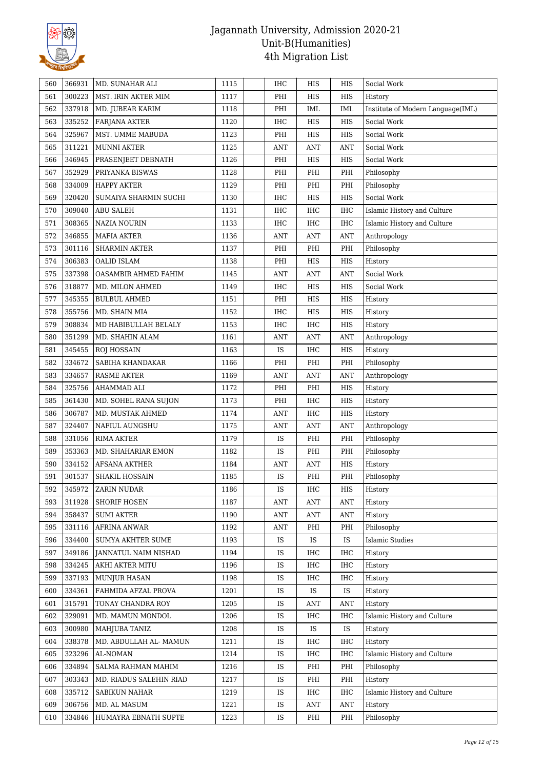

| 560 | 366931 | MD. SUNAHAR ALI         | 1115 | IHC        | HIS                              | HIS        | Social Work                       |
|-----|--------|-------------------------|------|------------|----------------------------------|------------|-----------------------------------|
| 561 | 300223 | MST. IRIN AKTER MIM     | 1117 | PHI        | HIS                              | HIS        | History                           |
| 562 | 337918 | MD. JUBEAR KARIM        | 1118 | PHI        | <b>IML</b>                       | IML        | Institute of Modern Language(IML) |
| 563 | 335252 | FARJANA AKTER           | 1120 | IHC        | HIS                              | HIS        | Social Work                       |
| 564 | 325967 | MST. UMME MABUDA        | 1123 | PHI        | HIS                              | <b>HIS</b> | Social Work                       |
| 565 | 311221 | <b>MUNNI AKTER</b>      | 1125 | <b>ANT</b> | <b>ANT</b>                       | <b>ANT</b> | Social Work                       |
| 566 | 346945 | PRASENJEET DEBNATH      | 1126 | PHI        | HIS                              | HIS        | Social Work                       |
| 567 | 352929 | PRIYANKA BISWAS         | 1128 | PHI        | PHI                              | PHI        | Philosophy                        |
| 568 | 334009 | HAPPY AKTER             | 1129 | PHI        | PHI                              | PHI        | Philosophy                        |
| 569 | 320420 | SUMAIYA SHARMIN SUCHI   | 1130 | IHC        | HIS                              | HIS        | Social Work                       |
| 570 | 309040 | <b>ABU SALEH</b>        | 1131 | IHC        | <b>IHC</b>                       | <b>IHC</b> | Islamic History and Culture       |
| 571 | 308365 | NAZIA NOURIN            | 1133 | IHC        | <b>IHC</b>                       | <b>IHC</b> | Islamic History and Culture       |
| 572 | 346855 | MAFIA AKTER             | 1136 | <b>ANT</b> | <b>ANT</b>                       | <b>ANT</b> | Anthropology                      |
| 573 | 301116 | <b>SHARMIN AKTER</b>    | 1137 | PHI        | PHI                              | PHI        | Philosophy                        |
| 574 | 306383 | <b>OALID ISLAM</b>      | 1138 | PHI        | HIS                              | HIS        | History                           |
| 575 | 337398 | OASAMBIR AHMED FAHIM    | 1145 | <b>ANT</b> | <b>ANT</b>                       | <b>ANT</b> | Social Work                       |
| 576 | 318877 | MD. MILON AHMED         | 1149 | IHC        | HIS                              | HIS        | Social Work                       |
| 577 | 345355 | <b>BULBUL AHMED</b>     | 1151 | PHI        | HIS                              | HIS        | History                           |
| 578 | 355756 | MD. SHAIN MIA           | 1152 | IHC        | HIS                              | HIS        | History                           |
| 579 | 308834 | MD HABIBULLAH BELALY    | 1153 | IHC        | <b>IHC</b>                       | HIS        | History                           |
| 580 | 351299 | MD. SHAHIN ALAM         | 1161 | <b>ANT</b> | <b>ANT</b>                       | <b>ANT</b> | Anthropology                      |
| 581 | 345455 | ROJ HOSSAIN             | 1163 | IS         | IHC                              | HIS        | History                           |
| 582 | 334672 | SABIHA KHANDAKAR        | 1166 | PHI        | PHI                              | PHI        | Philosophy                        |
| 583 | 334657 | <b>RASME AKTER</b>      | 1169 | <b>ANT</b> | <b>ANT</b>                       | <b>ANT</b> | Anthropology                      |
| 584 | 325756 | AHAMMAD ALI             | 1172 | PHI        | PHI                              | HIS        | History                           |
| 585 | 361430 | MD. SOHEL RANA SUJON    | 1173 | PHI        | IHC                              | HIS        | History                           |
| 586 | 306787 | MD. MUSTAK AHMED        | 1174 | <b>ANT</b> | <b>IHC</b>                       | HIS        | History                           |
| 587 | 324407 | NAFIUL AUNGSHU          | 1175 | <b>ANT</b> | <b>ANT</b>                       | <b>ANT</b> | Anthropology                      |
| 588 | 331056 | <b>RIMA AKTER</b>       | 1179 | IS         | PHI                              | PHI        | Philosophy                        |
| 589 | 353363 | MD. SHAHARIAR EMON      | 1182 | IS         | PHI                              | PHI        | Philosophy                        |
| 590 | 334152 | AFSANA AKTHER           | 1184 | ANT        | $\mathbf{A}\mathbf{N}\mathbf{T}$ | HIS        | History                           |
| 591 | 301537 | <b>SHAKIL HOSSAIN</b>   | 1185 | IS         | PHI                              | PHI        | Philosophy                        |
| 592 | 345972 | ZARIN NUDAR             | 1186 | IS         | <b>IHC</b>                       | HIS        | History                           |
| 593 | 311928 | <b>SHORIF HOSEN</b>     | 1187 | <b>ANT</b> | <b>ANT</b>                       | <b>ANT</b> | History                           |
| 594 | 358437 | <b>SUMI AKTER</b>       | 1190 | ANT        | ANT                              | <b>ANT</b> | History                           |
| 595 | 331116 | <b>AFRINA ANWAR</b>     | 1192 | <b>ANT</b> | PHI                              | PHI        | Philosophy                        |
| 596 | 334400 | SUMYA AKHTER SUME       | 1193 | IS         | IS                               | IS         | <b>Islamic Studies</b>            |
| 597 | 349186 | JANNATUL NAIM NISHAD    | 1194 | IS         | IHC                              | IHC        | History                           |
| 598 | 334245 | AKHI AKTER MITU         | 1196 | IS         | IHC                              | IHC        | History                           |
| 599 | 337193 | <b>MUNJUR HASAN</b>     | 1198 | <b>IS</b>  | <b>IHC</b>                       | <b>IHC</b> | History                           |
| 600 | 334361 | FAHMIDA AFZAL PROVA     | 1201 | IS         | IS                               | IS         | History                           |
| 601 | 315791 | TONAY CHANDRA ROY       | 1205 | IS         | ANT                              | <b>ANT</b> | History                           |
| 602 | 329091 | MD. MAMUN MONDOL        | 1206 | <b>IS</b>  | <b>IHC</b>                       | IHC        | Islamic History and Culture       |
| 603 | 300980 | MAHJUBA TANIZ           | 1208 | <b>IS</b>  | IS                               | IS         | History                           |
| 604 | 338378 | MD. ABDULLAH AL- MAMUN  | 1211 | IS         | <b>IHC</b>                       | <b>IHC</b> | History                           |
| 605 | 323296 | AL-NOMAN                | 1214 | IS         | <b>IHC</b>                       | <b>IHC</b> | Islamic History and Culture       |
| 606 | 334894 | SALMA RAHMAN MAHIM      | 1216 | IS         | PHI                              | PHI        | Philosophy                        |
| 607 | 303343 | MD. RIADUS SALEHIN RIAD | 1217 | <b>IS</b>  | PHI                              | PHI        | History                           |
| 608 | 335712 | SABIKUN NAHAR           | 1219 | IS         | <b>IHC</b>                       | IHC        | Islamic History and Culture       |
| 609 | 306756 | MD. AL MASUM            | 1221 | IS         | ANT                              | <b>ANT</b> | History                           |
| 610 | 334846 | HUMAYRA EBNATH SUPTE    | 1223 | IS         | PHI                              | PHI        | Philosophy                        |
|     |        |                         |      |            |                                  |            |                                   |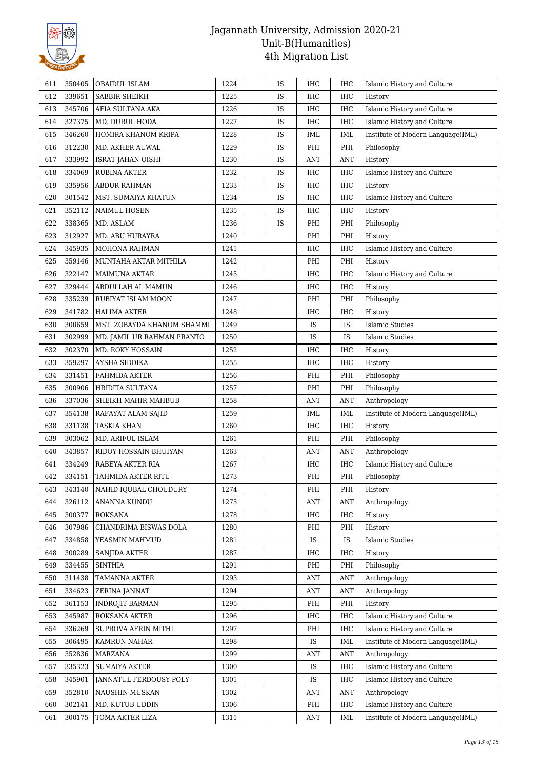

| 611 | 350405 | <b>OBAIDUL ISLAM</b>          | 1224 | IS        | <b>IHC</b>     | <b>IHC</b> | Islamic History and Culture       |
|-----|--------|-------------------------------|------|-----------|----------------|------------|-----------------------------------|
| 612 | 339651 | SABBIR SHEIKH                 | 1225 | IS        | <b>IHC</b>     | <b>IHC</b> | History                           |
| 613 | 345706 | AFIA SULTANA AKA              | 1226 | IS        | <b>IHC</b>     | <b>IHC</b> | Islamic History and Culture       |
| 614 | 327375 | MD. DURUL HODA                | 1227 | IS        | IHC            | IHC        | Islamic History and Culture       |
| 615 | 346260 | HOMIRA KHANOM KRIPA           | 1228 | <b>IS</b> | <b>IML</b>     | <b>IML</b> | Institute of Modern Language(IML) |
| 616 | 312230 | MD. AKHER AUWAL               | 1229 | IS        | PHI            | PHI        | Philosophy                        |
| 617 | 333992 | ISRAT JAHAN OISHI             | 1230 | <b>IS</b> | <b>ANT</b>     | <b>ANT</b> | History                           |
| 618 | 334069 | <b>RUBINA AKTER</b>           | 1232 | IS        | IHC            | IHC        | Islamic History and Culture       |
| 619 | 335956 | ABDUR RAHMAN                  | 1233 | <b>IS</b> | IHC            | IHC        | History                           |
| 620 | 301542 | MST. SUMAIYA KHATUN           | 1234 | <b>IS</b> | IHC            | <b>IHC</b> | Islamic History and Culture       |
| 621 | 352112 | <b>NAIMUL HOSEN</b>           | 1235 | IS        | IHC            | <b>IHC</b> | History                           |
| 622 | 338365 | MD. ASLAM                     | 1236 | IS        | PHI            | PHI        | Philosophy                        |
| 623 | 312927 | MD. ABU HURAYRA               | 1240 |           | PHI            | PHI        | History                           |
| 624 | 345935 | MOHONA RAHMAN                 | 1241 |           | IHC            | IHC        | Islamic History and Culture       |
| 625 | 359146 | MUNTAHA AKTAR MITHILA         | 1242 |           | PHI            | PHI        | History                           |
| 626 | 322147 | <b>MAIMUNA AKTAR</b>          | 1245 |           | IHC            | <b>IHC</b> | Islamic History and Culture       |
| 627 | 329444 | ABDULLAH AL MAMUN             | 1246 |           | IHC            | <b>IHC</b> | History                           |
| 628 | 335239 | RUBIYAT ISLAM MOON            | 1247 |           | PHI            | PHI        | Philosophy                        |
| 629 | 341782 | HALIMA AKTER                  | 1248 |           | <b>IHC</b>     | IHC        | History                           |
|     | 300659 | MST. ZOBAYDA KHANOM SHAMMI    | 1249 |           | IS             | IS         | <b>Islamic Studies</b>            |
| 630 |        |                               |      |           | IS             |            | <b>Islamic Studies</b>            |
| 631 | 302999 | MD. JAMIL UR RAHMAN PRANTO    | 1250 |           |                | IS         |                                   |
| 632 | 302370 | MD. ROKY HOSSAIN              | 1252 |           | <b>IHC</b>     | IHC        | History                           |
| 633 | 359297 | AYSHA SIDDIKA                 | 1255 |           | IHC            | IHC        | History                           |
| 634 | 331451 | FAHMIDA AKTER                 | 1256 |           | PHI            | PHI        | Philosophy                        |
| 635 | 300906 | HRIDITA SULTANA               | 1257 |           | PHI            | PHI        | Philosophy                        |
| 636 | 337036 | SHEIKH MAHIR MAHBUB           | 1258 |           | ANT            | <b>ANT</b> | Anthropology                      |
| 637 | 354138 | RAFAYAT ALAM SAJID            | 1259 |           | <b>IML</b>     | IML        | Institute of Modern Language(IML) |
| 638 | 331138 | TASKIA KHAN                   | 1260 |           | IHC            | <b>IHC</b> | History                           |
| 639 | 303062 | MD. ARIFUL ISLAM              | 1261 |           | PHI            | PHI        | Philosophy                        |
| 640 | 343857 | RIDOY HOSSAIN BHUIYAN         | 1263 |           | ANT            | <b>ANT</b> | Anthropology                      |
| 641 | 334249 | RABEYA AKTER RIA              | 1267 |           | IHC            | IHC        | Islamic History and Culture       |
| 642 | 334151 | TAHMIDA AKTER RITU            | 1273 |           | PHI            | PHI        | Philosophy                        |
| 643 | 343140 | NAHID IQUBAL CHOUDURY         | 1274 |           | PHI            | PHI        | History                           |
| 644 | 326112 | ANANNA KUNDU                  | 1275 |           | ANT            | <b>ANT</b> | Anthropology                      |
| 645 | 300377 | <b>ROKSANA</b>                | 1278 |           | IHC            | <b>IHC</b> | History                           |
| 646 | 307986 | CHANDRIMA BISWAS DOLA         | 1280 |           | PHI            | PHI        | History                           |
| 647 | 334858 | YEASMIN MAHMUD                | 1281 |           | IS.            | IS         | <b>Islamic Studies</b>            |
| 648 | 300289 | <b>SANJIDA AKTER</b>          | 1287 |           | IHC            | <b>IHC</b> | History                           |
| 649 | 334455 | <b>SINTHIA</b>                | 1291 |           | PHI            | PHI        | Philosophy                        |
| 650 | 311438 | TAMANNA AKTER                 | 1293 |           | ANT            | <b>ANT</b> | Anthropology                      |
| 651 | 334623 | ZERINA JANNAT                 | 1294 |           | ANT            | <b>ANT</b> | Anthropology                      |
| 652 | 361153 | <b>INDROJIT BARMAN</b>        | 1295 |           | PHI            | PHI        | History                           |
| 653 | 345987 | ROKSANA AKTER                 | 1296 |           | IHC            | IHC        | Islamic History and Culture       |
| 654 | 336269 | SUPROVA AFRIN MITHI           | 1297 |           | PHI            | IHC        | Islamic History and Culture       |
| 655 | 306495 | KAMRUN NAHAR                  | 1298 |           | IS             | IML        | Institute of Modern Language(IML) |
| 656 | 352836 | <b>MARZANA</b>                | 1299 |           | $\mathbf{ANT}$ | <b>ANT</b> | Anthropology                      |
| 657 | 335323 | <b>SUMAIYA AKTER</b>          | 1300 |           | IS             | <b>IHC</b> | Islamic History and Culture       |
| 658 | 345901 | <b>JANNATUL FERDOUSY POLY</b> | 1301 |           | IS             | IHC        | Islamic History and Culture       |
| 659 | 352810 | NAUSHIN MUSKAN                | 1302 |           | ANT            | <b>ANT</b> | Anthropology                      |
| 660 | 302141 | MD. KUTUB UDDIN               | 1306 |           | PHI            | <b>IHC</b> | Islamic History and Culture       |
| 661 | 300175 | TOMA AKTER LIZA               | 1311 |           | ANT            | IML        | Institute of Modern Language(IML) |
|     |        |                               |      |           |                |            |                                   |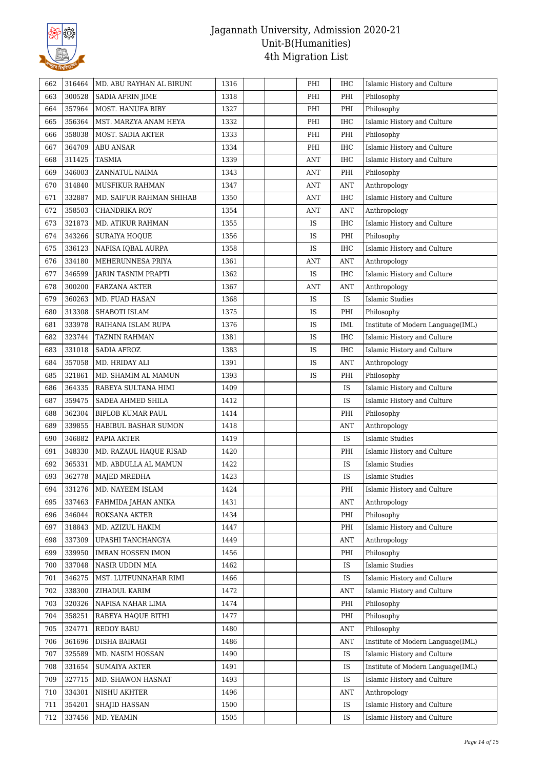

| 662 | 316464 | MD. ABU RAYHAN AL BIRUNI          | 1316 |  | PHI        | IHC        | Islamic History and Culture       |
|-----|--------|-----------------------------------|------|--|------------|------------|-----------------------------------|
| 663 | 300528 | <b>SADIA AFRIN JIME</b>           | 1318 |  | PHI        | PHI        | Philosophy                        |
| 664 | 357964 | <b>MOST. HANUFA BIBY</b>          | 1327 |  | PHI        | PHI        | Philosophy                        |
| 665 | 356364 | MST. MARZYA ANAM HEYA             | 1332 |  | PHI        | IHC        | Islamic History and Culture       |
| 666 | 358038 | MOST. SADIA AKTER                 | 1333 |  | PHI        | PHI        | Philosophy                        |
| 667 | 364709 | ABU ANSAR                         | 1334 |  | PHI        | <b>IHC</b> | Islamic History and Culture       |
| 668 | 311425 | TASMIA                            | 1339 |  | <b>ANT</b> | <b>IHC</b> | Islamic History and Culture       |
| 669 | 346003 | ZANNATUL NAIMA                    | 1343 |  | <b>ANT</b> | PHI        | Philosophy                        |
| 670 | 314840 | MUSFIKUR RAHMAN                   | 1347 |  | <b>ANT</b> | <b>ANT</b> | Anthropology                      |
| 671 | 332887 | MD. SAIFUR RAHMAN SHIHAB          | 1350 |  | ANT        | <b>IHC</b> | Islamic History and Culture       |
| 672 | 358503 | CHANDRIKA ROY                     | 1354 |  | <b>ANT</b> | <b>ANT</b> | Anthropology                      |
| 673 | 321873 | MD. ATIKUR RAHMAN                 | 1355 |  | IS         | <b>IHC</b> | Islamic History and Culture       |
| 674 | 343266 | SURAIYA HOQUE                     | 1356 |  | IS         | PHI        | Philosophy                        |
| 675 | 336123 | NAFISA IQBAL AURPA                | 1358 |  | IS         | <b>IHC</b> | Islamic History and Culture       |
| 676 | 334180 | MEHERUNNESA PRIYA                 | 1361 |  | <b>ANT</b> | <b>ANT</b> | Anthropology                      |
| 677 | 346599 | JARIN TASNIM PRAPTI               | 1362 |  | IS         | IHC        | Islamic History and Culture       |
| 678 | 300200 | <b>FARZANA AKTER</b>              | 1367 |  | ANT        | <b>ANT</b> | Anthropology                      |
| 679 | 360263 | MD. FUAD HASAN                    | 1368 |  | IS         | IS         | Islamic Studies                   |
| 680 | 313308 | SHABOTI ISLAM                     | 1375 |  | IS         | PHI        | Philosophy                        |
| 681 | 333978 | RAIHANA ISLAM RUPA                | 1376 |  | IS         | <b>IML</b> | Institute of Modern Language(IML) |
| 682 | 323744 | TAZNIN RAHMAN                     | 1381 |  | <b>IS</b>  | <b>IHC</b> | Islamic History and Culture       |
| 683 | 331018 | SADIA AFROZ                       | 1383 |  | IS         | <b>IHC</b> | Islamic History and Culture       |
| 684 | 357058 | MD. HRIDAY ALI                    | 1391 |  | IS         | <b>ANT</b> | Anthropology                      |
| 685 | 321861 | MD. SHAMIM AL MAMUN               | 1393 |  | IS         | PHI        | Philosophy                        |
| 686 | 364335 | RABEYA SULTANA HIMI               | 1409 |  |            | IS         | Islamic History and Culture       |
| 687 | 359475 | SADEA AHMED SHILA                 | 1412 |  |            | IS         | Islamic History and Culture       |
| 688 | 362304 | <b>BIPLOB KUMAR PAUL</b>          | 1414 |  |            | PHI        | Philosophy                        |
| 689 | 339855 | HABIBUL BASHAR SUMON              | 1418 |  |            | <b>ANT</b> | Anthropology                      |
| 690 | 346882 | PAPIA AKTER                       | 1419 |  |            | IS         | Islamic Studies                   |
| 691 | 348330 | MD. RAZAUL HAQUE RISAD            | 1420 |  |            | PHI        | Islamic History and Culture       |
| 692 | 365331 | MD. ABDULLA AL MAMUN              | 1422 |  |            | IS         | <b>Islamic Studies</b>            |
| 693 | 362778 | <b>MAJED MREDHA</b>               | 1423 |  |            | IS         | Islamic Studies                   |
| 694 | 331276 | MD. NAYEEM ISLAM                  | 1424 |  |            | PHI        | Islamic History and Culture       |
| 695 | 337463 | FAHMIDA JAHAN ANIKA               | 1431 |  |            | <b>ANT</b> | Anthropology                      |
|     |        |                                   |      |  |            |            |                                   |
| 696 | 346044 | ROKSANA AKTER<br>MD. AZIZUL HAKIM | 1434 |  |            | PHI        | Philosophy                        |
| 697 | 318843 |                                   | 1447 |  |            | PHI        | Islamic History and Culture       |
| 698 | 337309 | UPASHI TANCHANGYA                 | 1449 |  |            | <b>ANT</b> | Anthropology                      |
| 699 | 339950 | <b>IMRAN HOSSEN IMON</b>          | 1456 |  |            | PHI        | Philosophy                        |
| 700 | 337048 | NASIR UDDIN MIA                   | 1462 |  |            | IS         | <b>Islamic Studies</b>            |
| 701 | 346275 | MST. LUTFUNNAHAR RIMI             | 1466 |  |            | IS         | Islamic History and Culture       |
| 702 | 338300 | ZIHADUL KARIM                     | 1472 |  |            | <b>ANT</b> | Islamic History and Culture       |
| 703 | 320326 | NAFISA NAHAR LIMA                 | 1474 |  |            | PHI        | Philosophy                        |
| 704 | 358251 | RABEYA HAQUE BITHI                | 1477 |  |            | PHI        | Philosophy                        |
| 705 | 324771 | <b>REDOY BABU</b>                 | 1480 |  |            | <b>ANT</b> | Philosophy                        |
| 706 | 361696 | DISHA BAIRAGI                     | 1486 |  |            | ANT        | Institute of Modern Language(IML) |
| 707 | 325589 | MD. NASIM HOSSAN                  | 1490 |  |            | IS         | Islamic History and Culture       |
| 708 | 331654 | <b>SUMAIYA AKTER</b>              | 1491 |  |            | IS         | Institute of Modern Language(IML) |
| 709 | 327715 | MD. SHAWON HASNAT                 | 1493 |  |            | IS         | Islamic History and Culture       |
| 710 | 334301 | NISHU AKHTER                      | 1496 |  |            | <b>ANT</b> | Anthropology                      |
| 711 | 354201 | SHAJID HASSAN                     | 1500 |  |            | IS         | Islamic History and Culture       |
| 712 | 337456 | MD. YEAMIN                        | 1505 |  |            | IS         | Islamic History and Culture       |